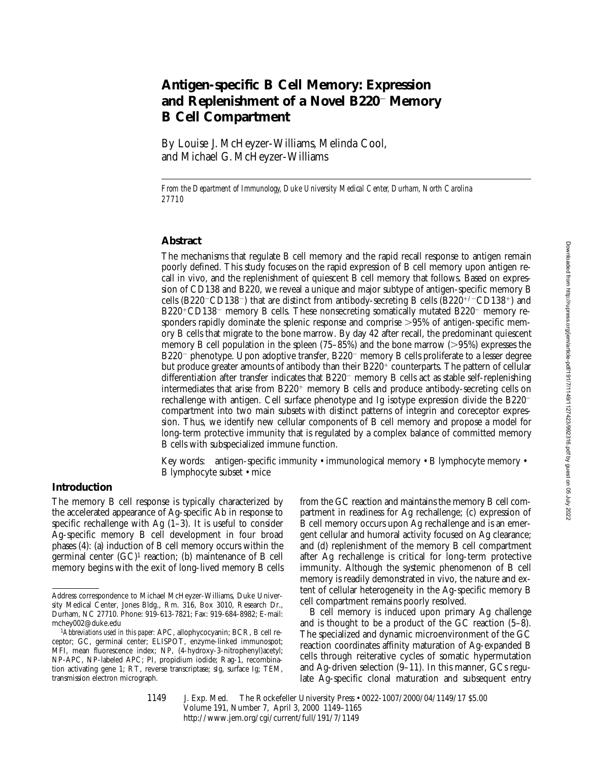# **Antigen-specific B Cell Memory: Expression** and Replenishment of a Novel B220<sup>-</sup> Memory **B Cell Compartment**

By Louise J. McHeyzer-Williams, Melinda Cool, and Michael G. McHeyzer-Williams

*From the Department of Immunology, Duke University Medical Center, Durham, North Carolina 27710*

#### **Abstract**

The mechanisms that regulate B cell memory and the rapid recall response to antigen remain poorly defined. This study focuses on the rapid expression of B cell memory upon antigen recall in vivo, and the replenishment of quiescent B cell memory that follows. Based on expression of CD138 and B220, we reveal a unique and major subtype of antigen-specific memory B cells (B220<sup>-</sup>CD138<sup>-</sup>) that are distinct from antibody-secreting B cells (B220<sup>+/-</sup>CD138<sup>+</sup>) and  $B220^+CD138$ <sup>-</sup> memory B cells. These nonsecreting somatically mutated B220<sup>-</sup> memory responders rapidly dominate the splenic response and comprise  $>95\%$  of antigen-specific memory B cells that migrate to the bone marrow. By day 42 after recall, the predominant quiescent memory B cell population in the spleen  $(75-85%)$  and the bone marrow ( $>95%)$  expresses the  $B220^-$  phenotype. Upon adoptive transfer,  $B220^-$  memory B cells proliferate to a lesser degree but produce greater amounts of antibody than their  $B220<sup>+</sup>$  counterparts. The pattern of cellular differentiation after transfer indicates that  $B220^-$  memory B cells act as stable self-replenishing intermediates that arise from  $B220<sup>+</sup>$  memory B cells and produce antibody-secreting cells on rechallenge with antigen. Cell surface phenotype and Ig isotype expression divide the  $B220$ compartment into two main subsets with distinct patterns of integrin and coreceptor expression. Thus, we identify new cellular components of B cell memory and propose a model for long-term protective immunity that is regulated by a complex balance of committed memory B cells with subspecialized immune function.

Key words: antigen-specific immunity • immunological memory • B lymphocyte memory • B lymphocyte subset • mice

## **Introduction**

The memory B cell response is typically characterized by the accelerated appearance of Ag-specific Ab in response to specific rechallenge with Ag  $(1-3)$ . It is useful to consider Ag-specific memory B cell development in four broad phases (4): (a) induction of B cell memory occurs within the germinal center  $(GC)^1$  reaction; (b) maintenance of B cell memory begins with the exit of long-lived memory B cells

from the GC reaction and maintains the memory B cell compartment in readiness for Ag rechallenge; (c) expression of B cell memory occurs upon Ag rechallenge and is an emergent cellular and humoral activity focused on Ag clearance; and (d) replenishment of the memory B cell compartment after Ag rechallenge is critical for long-term protective immunity. Although the systemic phenomenon of B cell memory is readily demonstrated in vivo, the nature and extent of cellular heterogeneity in the Ag-specific memory B cell compartment remains poorly resolved.

B cell memory is induced upon primary Ag challenge and is thought to be a product of the GC reaction (5–8). The specialized and dynamic microenvironment of the GC reaction coordinates affinity maturation of Ag-expanded B cells through reiterative cycles of somatic hypermutation and Ag-driven selection (9–11). In this manner, GCs regulate Ag-specific clonal maturation and subsequent entry

1149

J. Exp. Med. © The Rockefeller University Press • 0022-1007/2000/04/1149/17 \$5.00 Volume 191, Number 7, April 3, 2000 1149–1165 http://www.jem.org/cgi/current/full/191/7/1149

Address correspondence to Michael McHeyzer-Williams, Duke University Medical Center, Jones Bldg., Rm. 316, Box 3010, Research Dr., Durham, NC 27710. Phone: 919-613-7821; Fax: 919-684-8982; E-mail: mchey002@duke.edu

<sup>1</sup>*Abbreviations used in this paper:* APC, allophycocyanin; BCR, B cell receptor; GC, germinal center; ELISPOT, enzyme-linked immunospot; MFI, mean fluorescence index; NP, (4-hydroxy-3-nitrophenyl)acetyl; NP-APC, NP-labeled APC; PI, propidium iodide; Rag-1, recombination activating gene 1; RT, reverse transcriptase; sIg, surface Ig; TEM, transmission electron micrograph.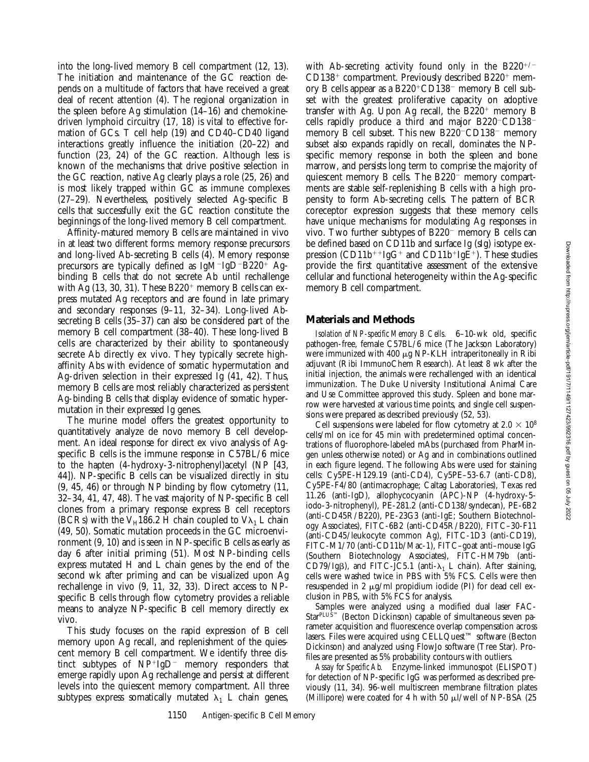into the long-lived memory B cell compartment (12, 13). The initiation and maintenance of the GC reaction depends on a multitude of factors that have received a great deal of recent attention (4). The regional organization in the spleen before Ag stimulation (14–16) and chemokinedriven lymphoid circuitry (17, 18) is vital to effective formation of GCs. T cell help (19) and CD40–CD40 ligand interactions greatly influence the initiation (20–22) and function (23, 24) of the GC reaction. Although less is known of the mechanisms that drive positive selection in the GC reaction, native Ag clearly plays a role (25, 26) and is most likely trapped within GC as immune complexes (27–29). Nevertheless, positively selected Ag-specific B cells that successfully exit the GC reaction constitute the beginnings of the long-lived memory B cell compartment.

Affinity-matured memory B cells are maintained in vivo in at least two different forms: memory response precursors and long-lived Ab-secreting B cells (4). Memory response precursors are typically defined as  $IgM-IgD-B220^+$  Agbinding B cells that do not secrete Ab until rechallenge with Ag  $(13, 30, 31)$ . These B220<sup>+</sup> memory B cells can express mutated Ag receptors and are found in late primary and secondary responses (9–11, 32–34). Long-lived Absecreting B cells (35–37) can also be considered part of the memory B cell compartment (38–40). These long-lived B cells are characterized by their ability to spontaneously secrete Ab directly ex vivo. They typically secrete highaffinity Abs with evidence of somatic hypermutation and Ag-driven selection in their expressed Ig (41, 42). Thus, memory B cells are most reliably characterized as persistent Ag-binding B cells that display evidence of somatic hypermutation in their expressed Ig genes.

The murine model offers the greatest opportunity to quantitatively analyze de novo memory B cell development. An ideal response for direct ex vivo analysis of Agspecific B cells is the immune response in C57BL/6 mice to the hapten (4-hydroxy-3-nitrophenyl)acetyl (NP [43, 44]). NP-specific B cells can be visualized directly in situ (9, 45, 46) or through NP binding by flow cytometry (11, 32–34, 41, 47, 48). The vast majority of NP-specific B cell clones from a primary response express B cell receptors (BCRs) with the V<sub>H</sub>186.2 H chain coupled to V $\lambda_1$  L chain (49, 50). Somatic mutation proceeds in the GC microenvironment (9, 10) and is seen in NP-specific B cells as early as day 6 after initial priming (51). Most NP-binding cells express mutated H and L chain genes by the end of the second wk after priming and can be visualized upon Ag rechallenge in vivo (9, 11, 32, 33). Direct access to NPspecific B cells through flow cytometry provides a reliable means to analyze NP-specific B cell memory directly ex vivo.

This study focuses on the rapid expression of B cell memory upon Ag recall, and replenishment of the quiescent memory B cell compartment. We identify three distinct subtypes of  $NP+IgD-$  memory responders that emerge rapidly upon Ag rechallenge and persist at different levels into the quiescent memory compartment. All three subtypes express somatically mutated  $\lambda_1$  L chain genes,

with Ab-secreting activity found only in the  $B220^{+/}$  $CD138<sup>+</sup>$  compartment. Previously described B220<sup>+</sup> memory B cells appear as a  $B220^+CD138^-$  memory B cell subset with the greatest proliferative capacity on adoptive transfer with Ag. Upon Ag recall, the  $B220<sup>+</sup>$  memory B cells rapidly produce a third and major  $B220$ <sup>-</sup>CD138<sup>-</sup> memory B cell subset. This new  $B220$ <sup>-</sup>CD138<sup>-</sup> memory subset also expands rapidly on recall, dominates the NPspecific memory response in both the spleen and bone marrow, and persists long term to comprise the majority of quiescent memory B cells. The  $B220^-$  memory compartments are stable self-replenishing B cells with a high propensity to form Ab-secreting cells. The pattern of BCR coreceptor expression suggests that these memory cells have unique mechanisms for modulating Ag responses in vivo. Two further subtypes of  $B220^-$  memory B cells can be defined based on CD11b and surface Ig (sIg) isotype expression (CD11b<sup>++</sup>IgG<sup>+</sup> and CD11b<sup>+</sup>IgE<sup>+</sup>). These studies provide the first quantitative assessment of the extensive cellular and functional heterogeneity within the Ag-specific memory B cell compartment.

# **Materials and Methods**

*Isolation of NP-specific Memory B Cells.* 6–10-wk old, specific pathogen-free, female C57BL/6 mice (The Jackson Laboratory) were immunized with 400  $\mu$ g NP-KLH intraperitoneally in Ribi adjuvant (Ribi ImmunoChem Research). At least 8 wk after the initial injection, the animals were rechallenged with an identical immunization. The Duke University Institutional Animal Care and Use Committee approved this study. Spleen and bone marrow were harvested at various time points, and single cell suspensions were prepared as described previously (52, 53).

Cell suspensions were labeled for flow cytometry at  $2.0 \times 10^8$ cells/ml on ice for 45 min with predetermined optimal concentrations of fluorophore-labeled mAbs (purchased from PharMingen unless otherwise noted) or Ag and in combinations outlined in each figure legend. The following Abs were used for staining cells: Cy5PE-H129.19 (anti-CD4), Cy5PE–53-6.7 (anti-CD8), Cy5PE-F4/80 (antimacrophage; Caltag Laboratories), Texas red 11.26 (anti-IgD), allophycocyanin (APC)-NP (4-hydroxy-5 iodo-3-nitrophenyl), PE-281.2 (anti-CD138/syndecan), PE-6B2 (anti-CD45R/B220), PE-23G3 (anti-IgE; Southern Biotechnology Associates), FITC-6B2 (anti-CD45R/B220), FITC–30-F11 (anti-CD45/leukocyte common Ag), FITC-1D3 (anti-CD19), FITC-M1/70 (anti-CD11b/Mac-1), FITC–goat anti–mouse IgG (Southern Biotechnology Associates), FITC-HM79b (anti-CD79/Ig<sub>B</sub>), and FITC-JC5.1 (anti- $\lambda_1$  L chain). After staining, cells were washed twice in PBS with 5% FCS. Cells were then resuspended in 2  $\mu$ g/ml propidium iodide (PI) for dead cell exclusion in PBS, with 5% FCS for analysis.

Samples were analyzed using a modified dual laser FAC-Star<sup>PLUS™</sup> (Becton Dickinson) capable of simultaneous seven parameter acquisition and fluorescence overlap compensation across lasers. Files were acquired using CELLQuest™ software (Becton Dickinson) and analyzed using FlowJo software (Tree Star). Profiles are presented as 5% probability contours with outliers.

*Assay for Specific Ab.* Enzyme-linked immunospot (ELISPOT) for detection of NP-specific IgG was performed as described previously (11, 34). 96-well multiscreen membrane filtration plates (Millipore) were coated for 4 h with 50  $\mu$ l/well of NP-BSA (25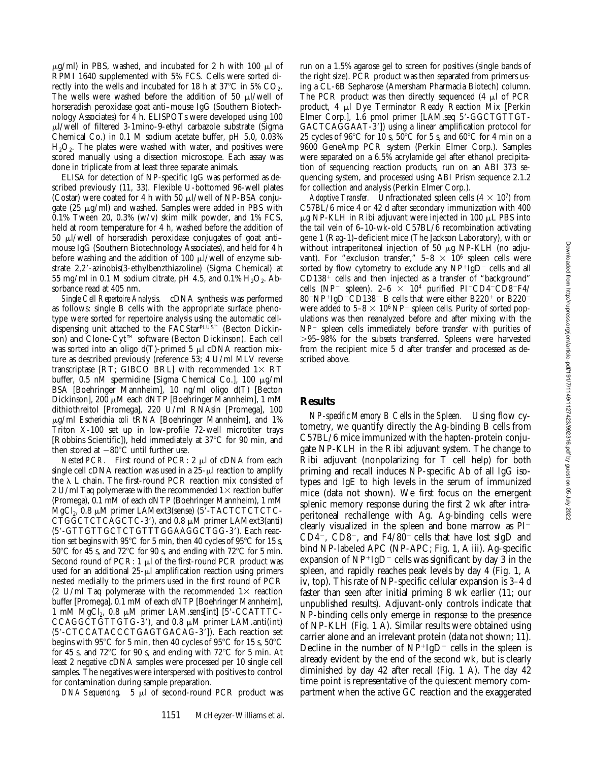$\mu$ g/ml) in PBS, washed, and incubated for 2 h with 100  $\mu$ l of RPMI 1640 supplemented with 5% FCS. Cells were sorted directly into the wells and incubated for 18 h at  $37^{\circ}$ C in 5% CO<sub>2</sub>. The wells were washed before the addition of 50  $\mu$ l/well of horseradish peroxidase goat anti–mouse IgG (Southern Biotechnology Associates) for 4 h. ELISPOTs were developed using 100 ml/well of filtered 3-1mino-9-ethyl carbazole substrate (Sigma Chemical Co.) in 0.1 M sodium acetate buffer, pH 5.0, 0.03%  $H<sub>2</sub>O<sub>2</sub>$ . The plates were washed with water, and positives were scored manually using a dissection microscope. Each assay was done in triplicate from at least three separate animals.

ELISA for detection of NP-specific IgG was performed as described previously (11, 33). Flexible U-bottomed 96-well plates (Costar) were coated for 4 h with 50  $\mu$ l/well of NP-BSA conjugate  $(25 \mu g/ml)$  and washed. Samples were added in PBS with  $0.1\%$  Tween 20, 0.3% (w/v) skim milk powder, and 1% FCS, held at room temperature for 4 h, washed before the addition of  $50 \mu$ l/well of horseradish peroxidase conjugates of goat antimouse IgG (Southern Biotechnology Associates), and held for 4 h before washing and the addition of 100  $\mu$ l/well of enzyme substrate 2,2'-azinobis(3-ethylbenzthiazoline) (Sigma Chemical) at 55 mg/ml in 0.1 M sodium citrate, pH 4.5, and 0.1%  $H_2O_2$ . Absorbance read at 405 nm.

*Single Cell Repertoire Analysis.* cDNA synthesis was performed as follows: single B cells with the appropriate surface phenotype were sorted for repertoire analysis using the automatic celldispensing unit attached to the FACStarPLUS™ (Becton Dickinson) and Clone-Cyt™ software (Becton Dickinson). Each cell was sorted into an oligo  $d(T)$ -primed 5  $\mu$ l cDNA reaction mixture as described previously (reference 53; 4 U/ml MLV reverse transcriptase [RT; GIBCO BRL] with recommended  $1\times$  RT buffer, 0.5 nM spermidine [Sigma Chemical Co.], 100 μg/ml BSA [Boehringer Mannheim], 10 ng/ml oligo d(T) [Becton Dickinson], 200 µM each dNTP [Boehringer Mannheim], 1 mM dithiothreitol [Promega], 220 U/ml RNAsin [Promega], 100 mg/ml *Escherichia coli* tRNA [Boehringer Mannheim], and 1% Triton X-100 set up in low-profile 72-well microtiter trays [Robbins Scientific]), held immediately at 37°C for 90 min, and then stored at  $-80^{\circ}$ C until further use.

*Nested PCR.* First round of PCR: 2 µl of cDNA from each single cell cDNA reaction was used in a  $25-\mu l$  reaction to amplify the  $\lambda$  L chain. The first-round PCR reaction mix consisted of 2 U/ml Taq polymerase with the recommended  $1\times$  reaction buffer (Promega), 0.1 mM of each dNTP (Boehringer Mannheim), 1 mM  $MgCl<sub>2</sub>$ , 0.8  $\mu$ M primer LAMext3(sense) (5'-TACTCTCTCTC-CTGGCTCTCAGCTC-3'), and 0.8  $\mu$ M primer LAMext3(anti) (5'-GTTGTTGCTCTGTTTGGAAGGCTGG-3'). Each reaction set begins with 95 $\degree$ C for 5 min, then 40 cycles of 95 $\degree$ C for 15 s,  $50^{\circ}$ C for 45 s, and 72°C for 90 s, and ending with 72°C for 5 min. Second round of PCR:  $1 \mu$  of the first-round PCR product was used for an additional  $25-\mu l$  amplification reaction using primers nested medially to the primers used in the first round of PCR (2 U/ml Taq polymerase with the recommended  $1\times$  reaction buffer [Promega], 0.1 mM of each dNTP [Boehringer Mannheim], 1 mM MgCl<sub>2</sub>, 0.8  $\mu$ M primer LAM.sens[int] [5'-CCATTTC-CCAGGCTGTTGTG-3'), and  $0.8 \mu M$  primer LAM.anti(int) (5'-CTCCATACCCTGAGTGACAG-3']). Each reaction set begins with 95<sup>o</sup>C for 5 min, then 40 cycles of 95<sup>o</sup>C for 15 s, 50<sup>o</sup>C for 45 s, and 72 $\degree$ C for 90 s, and ending with 72 $\degree$ C for 5 min. At least 2 negative cDNA samples were processed per 10 single cell samples. The negatives were interspersed with positives to control for contamination during sample preparation.

*DNA Sequencing.* 5 µl of second-round PCR product was

run on a 1.5% agarose gel to screen for positives (single bands of the right size). PCR product was then separated from primers using a CL-6B Sepharose (Amersham Pharmacia Biotech) column. The PCR product was then directly sequenced  $(4 \mu)$  of PCR product, 4 µl Dye Terminator Ready Reaction Mix [Perkin Elmer Corp.], 1.6 pmol primer [LAM.seq 5'-GGCTGTTGT-GACTCAGGAAT-3']) using a linear amplification protocol for 25 cycles of  $96^{\circ}$ C for 10 s,  $50^{\circ}$ C for 5 s, and  $60^{\circ}$ C for 4 min on a 9600 GeneAmp PCR system (Perkin Elmer Corp.). Samples were separated on a 6.5% acrylamide gel after ethanol precipitation of sequencing reaction products, run on an ABI 373 sequencing system, and processed using ABI Prism sequence 2.1.2 for collection and analysis (Perkin Elmer Corp.).

*Adoptive Transfer.* Unfractionated spleen cells  $(4 \times 10^7)$  from C57BL/6 mice 4 or 42 d after secondary immunization with 400  $\mu$ g NP-KLH in Ribi adjuvant were injected in 100  $\mu$ L PBS into the tail vein of 6–10-wk-old C57BL/6 recombination activating gene 1 (Rag-1)–deficient mice (The Jackson Laboratory), with or without intraperitoneal injection of 50  $\mu$ g NP-KLH (no adjuvant). For "exclusion transfer,"  $5-8 \times 10^6$  spleen cells were sorted by flow cytometry to exclude any  $NP+IgD^-$  cells and all  $CD138<sup>+</sup>$  cells and then injected as a transfer of "background" cells (NP<sup>-</sup> spleen).  $2-6 \times 10^4$  purified PI<sup>-</sup>CD4<sup>-</sup>CD8<sup>-</sup>F4/ 80<sup>-</sup>NP<sup>+</sup>IgD<sup>-</sup>CD138<sup>-</sup> B cells that were either B220<sup>+</sup> or B220<sup>-</sup> were added to 5–8  $\times$  10<sup>6</sup> NP<sup>-</sup> spleen cells. Purity of sorted populations was then reanalyzed before and after mixing with the  $NP^-$  spleen cells immediately before transfer with purities of .95–98% for the subsets transferred. Spleens were harvested from the recipient mice 5 d after transfer and processed as described above.

#### **Results**

*NP-specific Memory B Cells in the Spleen.* Using flow cytometry, we quantify directly the Ag-binding B cells from C57BL/6 mice immunized with the hapten-protein conjugate NP-KLH in the Ribi adjuvant system. The change to Ribi adjuvant (nonpolarizing for T cell help) for both priming and recall induces NP-specific Ab of all IgG isotypes and IgE to high levels in the serum of immunized mice (data not shown). We first focus on the emergent splenic memory response during the first 2 wk after intraperitoneal rechallenge with Ag. Ag-binding cells were clearly visualized in the spleen and bone marrow as  $PI$ <sup>-</sup>  $CD4^-$ ,  $CD8^-$ , and  $F4/80^-$  cells that have lost sIgD and bind NP-labeled APC (NP-APC; Fig. 1, A iii). Ag-specific expansion of  $NP+IgD^-$  cells was significant by day 3 in the spleen, and rapidly reaches peak levels by day 4 (Fig. 1, A iv, top). This rate of NP-specific cellular expansion is 3–4 d faster than seen after initial priming 8 wk earlier (11; our unpublished results). Adjuvant-only controls indicate that NP-binding cells only emerge in response to the presence of NP-KLH (Fig. 1 A). Similar results were obtained using carrier alone and an irrelevant protein (data not shown; 11). Decline in the number of  $NP+IgD^-$  cells in the spleen is already evident by the end of the second wk, but is clearly diminished by day 42 after recall (Fig. 1 A). The day 42 time point is representative of the quiescent memory compartment when the active GC reaction and the exaggerated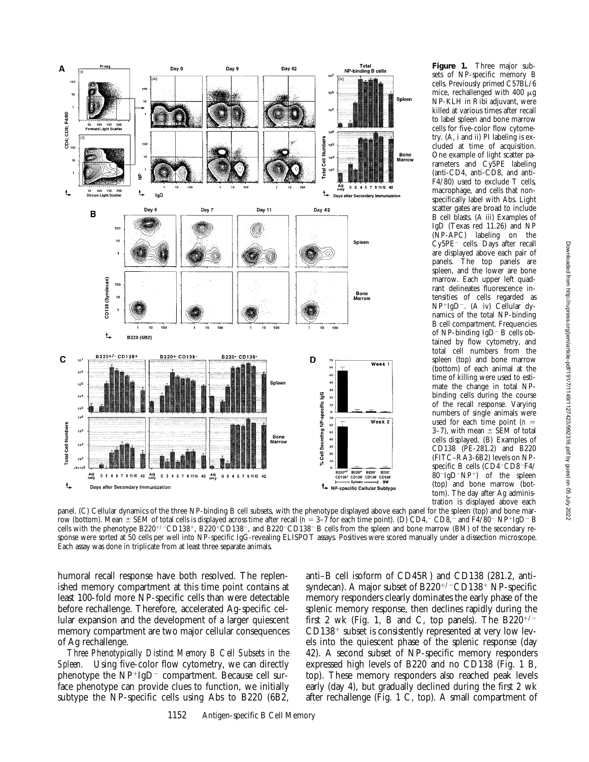

**Figure 1.** Three major subsets of NP-specific memory B cells. Previously primed C57BL/6 mice, rechallenged with 400 mg NP-KLH in Ribi adjuvant, were killed at various times after recall to label spleen and bone marrow cells for five-color flow cytometry. (A, i and ii) PI labeling is excluded at time of acquisition. One example of light scatter parameters and Cy5PE labeling (anti-CD4, anti-CD8, and anti-F4/80) used to exclude T cells, macrophage, and cells that nonspecifically label with Abs. Light scatter gates are broad to include B cell blasts. (A iii) Examples of IgD (Texas red 11.26) and NP (NP-APC) labeling on the Cy5PE<sup>-</sup> cells. Days after recall are displayed above each pair of panels. The top panels are spleen, and the lower are bone marrow. Each upper left quadrant delineates fluorescence intensities of cells regarded as NP+IgD<sup>-</sup>. (A iv) Cellular dynamics of the total NP-binding B cell compartment. Frequencies of NP-binding  $IgD - B$  cells obtained by flow cytometry, and total cell numbers from the spleen (top) and bone marrow (bottom) of each animal at the time of killing were used to estimate the change in total NPbinding cells during the course of the recall response. Varying numbers of single animals were used for each time point  $(n =$ 3–7), with mean  $\pm$  SEM of total cells displayed. (B) Examples of CD138 (PE-281.2) and B220 (FITC–RA3-6B2) levels on NPspecific B cells (CD4<sup>-</sup>CD8<sup>-</sup>F4/  $80$ <sup>-</sup>IgD<sup>-</sup>NP<sup>+</sup>) of the spleen (top) and bone marrow (bottom). The day after Ag administration is displayed above each

panel. (C) Cellular dynamics of the three NP-binding B cell subsets, with the phenotype displayed above each panel for the spleen (top) and bone marrow (bottom). Mean  $\pm$  SEM of total cells is displayed across time after recall (*n* = 3–7 for each time point). (D) CD4,<sup>-</sup> CD8,<sup>-</sup> and F4/80<sup>-</sup> NP<sup>+</sup>IgD<sup>-</sup> B cells with the phenotype B220<sup>+/-</sup>CD138<sup>+</sup>, B220<sup>+</sup>CD138<sup>-</sup>, and B220<sup>-</sup>CD138<sup>-</sup> B cells from the spleen and bone marrow (BM) of the secondary response were sorted at 50 cells per well into NP-specific IgG-revealing ELISPOT assays. Positives were scored manually under a dissection microscope. Each assay was done in triplicate from at least three separate animals.

humoral recall response have both resolved. The replenished memory compartment at this time point contains at least 100-fold more NP-specific cells than were detectable before rechallenge. Therefore, accelerated Ag-specific cellular expansion and the development of a larger quiescent memory compartment are two major cellular consequences of Ag rechallenge.

*Three Phenotypically Distinct Memory B Cell Subsets in the Spleen.* Using five-color flow cytometry, we can directly phenotype the  $NP+IgD-$  compartment. Because cell surface phenotype can provide clues to function, we initially subtype the NP-specific cells using Abs to B220 (6B2,

anti–B cell isoform of CD45R) and CD138 (281.2, antisyndecan). A major subset of  $B220^{+/-}CD138^+$  NP-specific memory responders clearly dominates the early phase of the splenic memory response, then declines rapidly during the first 2 wk (Fig. 1, B and C, top panels). The  $B220^{+/}$  $CD138<sup>+</sup>$  subset is consistently represented at very low levels into the quiescent phase of the splenic response (day 42). A second subset of NP-specific memory responders expressed high levels of B220 and no CD138 (Fig. 1 B, top). These memory responders also reached peak levels early (day 4), but gradually declined during the first 2 wk after rechallenge (Fig. 1 C, top). A small compartment of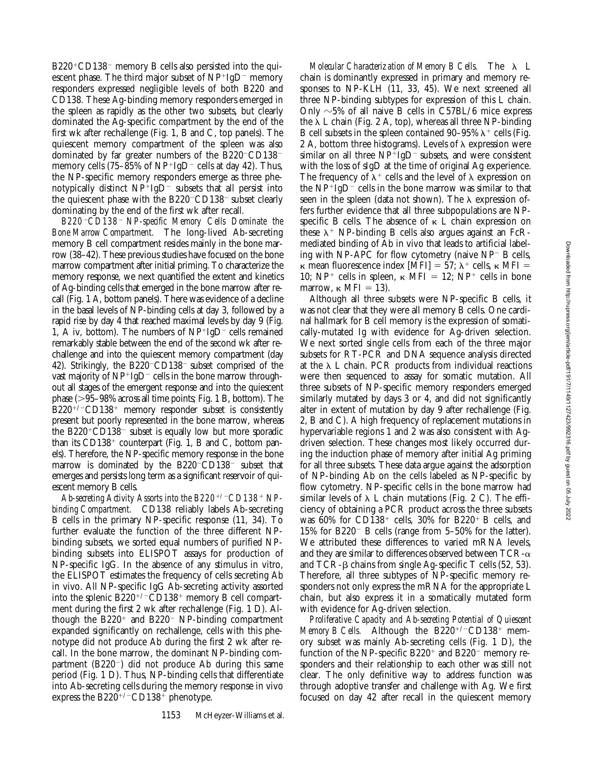$B220^{\circ}CD138$ <sup>-</sup> memory B cells also persisted into the quiescent phase. The third major subset of  $NP^{+}IgD^{-}$  memory responders expressed negligible levels of both B220 and CD138. These Ag-binding memory responders emerged in the spleen as rapidly as the other two subsets, but clearly dominated the Ag-specific compartment by the end of the first wk after rechallenge (Fig. 1, B and C, top panels). The quiescent memory compartment of the spleen was also dominated by far greater numbers of the B220 $^-$ CD138 $^$ memory cells (75–85% of  $NP+IgD^-$  cells at day 42). Thus, the NP-specific memory responders emerge as three phenotypically distinct  $NP^{+}IgD^{-}$  subsets that all persist into the quiescent phase with the  $B220$ <sup>-</sup>CD138<sup>-</sup> subset clearly dominating by the end of the first wk after recall.

*B220*2*CD138*2 *NP-specific Memory Cells Dominate the Bone Marrow Compartment.* The long-lived Ab-secreting memory B cell compartment resides mainly in the bone marrow (38–42). These previous studies have focused on the bone marrow compartment after initial priming. To characterize the memory response, we next quantified the extent and kinetics of Ag-binding cells that emerged in the bone marrow after recall (Fig. 1 A, bottom panels). There was evidence of a decline in the basal levels of NP-binding cells at day 3, followed by a rapid rise by day 4 that reached maximal levels by day 9 (Fig. 1, A iv, bottom). The numbers of  $NP^{+}IgD^{-}$  cells remained remarkably stable between the end of the second wk after rechallenge and into the quiescent memory compartment (day 42). Strikingly, the  $B220$ <sup>-</sup>CD138<sup>-</sup> subset comprised of the vast majority of  $NP+IgD^-$  cells in the bone marrow throughout all stages of the emergent response and into the quiescent phase  $(>= 95-98\%$  across all time points; Fig. 1 B, bottom). The  $B220^{+/}$ CD138<sup>+</sup> memory responder subset is consistently present but poorly represented in the bone marrow, whereas the  $B220^{\circ}CD138^-$  subset is equally low but more sporadic than its  $CD138<sup>+</sup>$  counterpart (Fig. 1, B and C, bottom panels). Therefore, the NP-specific memory response in the bone marrow is dominated by the  $B220$ <sup>-</sup>CD138<sup>-</sup> subset that emerges and persists long term as a significant reservoir of quiescent memory B cells.

Ab-secreting Activity Assorts into the B220<sup>+/-</sup>CD138<sup>+</sup> NP*binding Compartment.* CD138 reliably labels Ab-secreting B cells in the primary NP-specific response (11, 34). To further evaluate the function of the three different NPbinding subsets, we sorted equal numbers of purified NPbinding subsets into ELISPOT assays for production of NP-specific IgG. In the absence of any stimulus in vitro, the ELISPOT estimates the frequency of cells secreting Ab in vivo. All NP-specific IgG Ab-secreting activity assorted into the splenic  $B220^{+/}$ CD138<sup>+</sup> memory B cell compartment during the first 2 wk after rechallenge (Fig. 1 D). Although the  $B220<sup>+</sup>$  and  $B220<sup>-</sup>$  NP-binding compartment expanded significantly on rechallenge, cells with this phenotype did not produce Ab during the first 2 wk after recall. In the bone marrow, the dominant NP-binding compartment  $(B220^-)$  did not produce Ab during this same period (Fig. 1 D). Thus, NP-binding cells that differentiate into Ab-secreting cells during the memory response in vivo express the  $B220^{+/}$ CD138<sup>+</sup> phenotype.

*Molecular Characterization of Memory B Cells.* The  $\lambda$  L chain is dominantly expressed in primary and memory responses to NP-KLH (11, 33, 45). We next screened all three NP-binding subtypes for expression of this L chain. Only  $\sim$  5% of all naive B cells in C57BL/6 mice express the  $\lambda$  L chain (Fig. 2 A, top), whereas all three NP-binding B cell subsets in the spleen contained 90–95%  $\lambda^+$  cells (Fig. 2 A, bottom three histograms). Levels of  $\lambda$  expression were similar on all three  $NP^{+}IgD^{-}$  subsets, and were consistent with the loss of sIgD at the time of original Ag experience. The frequency of  $\lambda^+$  cells and the level of  $\lambda$  expression on the  $NP^{+}IgD^{-}$  cells in the bone marrow was similar to that seen in the spleen (data not shown). The  $\lambda$  expression offers further evidence that all three subpopulations are NPspecific B cells. The absence of  $\kappa$  L chain expression on these  $\lambda^+$  NP-binding B cells also argues against an FcRmediated binding of Ab in vivo that leads to artificial labeling with NP-APC for flow cytometry (naive  $NP^-$  B cells,  $\kappa$  mean fluorescence index [MFI] = 57;  $\lambda^+$  cells,  $\kappa$  MFI = 10; NP<sup>+</sup> cells in spleen,  $\kappa$  MFI = 12; NP<sup>+</sup> cells in bone marrow,  $\kappa$  MFI = 13).

Although all three subsets were NP-specific B cells, it was not clear that they were all memory B cells. One cardinal hallmark for B cell memory is the expression of somatically-mutated Ig with evidence for Ag-driven selection. We next sorted single cells from each of the three major subsets for RT-PCR and DNA sequence analysis directed at the  $\lambda$  L chain. PCR products from individual reactions were then sequenced to assay for somatic mutation. All three subsets of NP-specific memory responders emerged similarly mutated by days 3 or 4, and did not significantly alter in extent of mutation by day 9 after rechallenge (Fig. 2, B and C). A high frequency of replacement mutations in hypervariable regions 1 and 2 was also consistent with Agdriven selection. These changes most likely occurred during the induction phase of memory after initial Ag priming for all three subsets. These data argue against the adsorption of NP-binding Ab on the cells labeled as NP-specific by flow cytometry. NP-specific cells in the bone marrow had similar levels of  $\lambda$  L chain mutations (Fig. 2 C). The efficiency of obtaining a PCR product across the three subsets was 60% for CD138<sup>+</sup> cells, 30% for B220<sup>+</sup> B cells, and 15% for B220<sup>-</sup> B cells (range from  $5-50\%$  for the latter). We attributed these differences to varied mRNA levels, and they are similar to differences observed between  $TCR-\alpha$ and  $TCR-\beta$  chains from single Ag-specific T cells (52, 53). Therefore, all three subtypes of NP-specific memory responders not only express the mRNA for the appropriate L chain, but also express it in a somatically mutated form with evidence for Ag-driven selection.

*Proliferative Capacity and Ab-secreting Potential of Quiescent Memory B Cells.* Although the  $B220^{+/-}CD138^{+}$  memory subset was mainly Ab-secreting cells (Fig. 1 D), the function of the NP-specific B220<sup>+</sup> and B220<sup>-</sup> memory responders and their relationship to each other was still not clear. The only definitive way to address function was through adoptive transfer and challenge with Ag. We first focused on day 42 after recall in the quiescent memory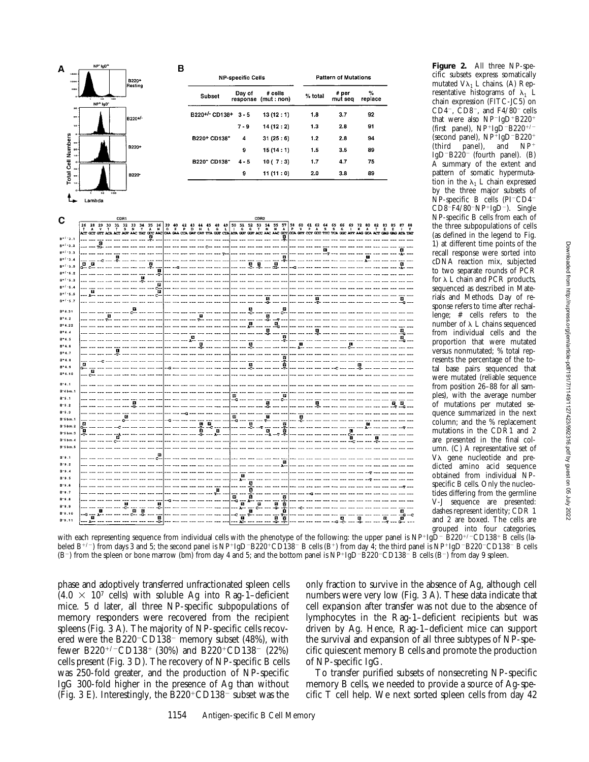| A                              | NP* IgD*          |                                  | B                       |                          |                    |                                 |                              |                             |                   |                              |
|--------------------------------|-------------------|----------------------------------|-------------------------|--------------------------|--------------------|---------------------------------|------------------------------|-----------------------------|-------------------|------------------------------|
|                                |                   | B220+                            |                         | <b>NP-specific Cells</b> |                    |                                 |                              | <b>Pattern of Mutations</b> |                   |                              |
|                                | NP+ IgD*          | Resting                          |                         | Subset                   | Day of             | # cells<br>response (mut : non) | % total                      | # per<br>mut seq            | $\%$<br>replace   |                              |
| 30<br>2K                       |                   | B220+/-                          |                         | B220+/- CD138+ 3 - 5     |                    | 13(12:1)                        | 1.8                          | 3.7                         | 92                |                              |
| 30                             |                   |                                  |                         |                          | $7 - 9$            | 14(12:2)                        | $1.3$                        | 2.8                         | 91                |                              |
| 5a                             |                   |                                  |                         | B220+ CD138*             | 4                  | 31(25:6)                        | $1.2$                        | 2.8                         | 94                |                              |
| 20                             |                   | B220+                            |                         |                          | 9                  | 15(14:1)                        | 1.5                          | 3.5                         | 89                |                              |
| $\overline{10}$                |                   |                                  |                         | B220" CD138"             | $4 - 5$            | 10(7:3)                         | 1.7                          | 4.7                         | 75                |                              |
| Total Cell Numbers<br>20       |                   | B220 <sup>-</sup>                |                         |                          | 9                  | 11 (11 : 0)                     | 2.0                          | 3.8                         | 89                |                              |
|                                | Lambda            |                                  |                         |                          |                    |                                 |                              |                             |                   |                              |
|                                |                   | CDR1                             |                         |                          |                    | CDR <sub>2</sub>                |                              |                             |                   |                              |
| C                              | 26 28 29 30 31 32 | 33 34 35 36                      | 39 40<br>42<br>43<br>44 | 45<br>48<br>49           |                    |                                 | 58 60 61 62 64 65 66         | 69                          | 72 80<br>82<br>83 | 85                           |
| $B + 1 - 3.1$                  |                   | مت                               | CAT                     | GET CTA                  |                    |                                 | CCA GIFT CCT GCC TTC TCA GGC |                             | cac.              | <b>CAC</b><br><b>MTA TAT</b> |
| $B + 1 - 3 - 2$                | $\bullet$<br>TG   |                                  |                         |                          |                    |                                 |                              |                             |                   | m                            |
| 8+ I<br>-3.4                   |                   | П                                |                         |                          |                    | ă                               |                              |                             |                   |                              |
| $B + 1 - 3.5$                  | $\Delta$<br>은     | V<br>т                           |                         |                          | ×                  | O<br>B<br>m                     |                              |                             |                   |                              |
| $8 + 1.5.2$                    |                   | Â                                |                         |                          |                    |                                 |                              |                             |                   |                              |
| $B + 1.5.3$<br>$B^{+/S}.4$     |                   | Ë                                |                         |                          |                    |                                 |                              |                             |                   |                              |
| $B + 1 - 5.5$                  |                   | È                                |                         |                          |                    |                                 |                              |                             |                   |                              |
| $B + 1 - 5.7$                  |                   |                                  |                         |                          |                    | 통                               | м                            |                             |                   | m                            |
| $B + 4.31$                     | м                 |                                  | P.                      |                          |                    | D                               |                              |                             |                   |                              |
| $B + 4.2$<br>$B + 4.22$        |                   |                                  |                         |                          | П                  | ę.<br>$\Xi_c$                   |                              |                             |                   |                              |
| $B + 4.4$                      |                   |                                  |                         |                          |                    | Ř                               |                              |                             |                   | Ø,                           |
| $B + 4.5$                      |                   |                                  | ū,                      |                          |                    | Ŧ<br>ч                          |                              |                             |                   | м                            |
| $B + 4.6$<br>$B + 4.7$         |                   |                                  |                         |                          | 띟                  |                                 |                              |                             |                   |                              |
| $B + 4.8$                      |                   |                                  |                         |                          |                    | ø                               |                              |                             |                   |                              |
| $8*4.9$                        | и                 |                                  |                         |                          |                    | ê                               |                              |                             |                   |                              |
| $B+4.10$                       |                   |                                  |                         |                          |                    |                                 |                              |                             |                   |                              |
| $8 - 4.1$<br>$B - 4 b m.1$     |                   |                                  |                         |                          |                    |                                 |                              |                             |                   |                              |
| $B - S - 1$                    |                   |                                  |                         |                          | w                  | Ē<br>c-                         |                              |                             |                   |                              |
| $B - 5 - 2$                    |                   | E.                               |                         |                          |                    | ä                               |                              |                             |                   | <b>IX</b>                    |
| $B - 5.3$                      |                   | G                                |                         |                          | ā                  | ö                               | ю                            |                             |                   |                              |
| $8 - 5$ bm. 1<br>$B - 5 b$ m.2 | a                 |                                  | в                       | $\mathbf{a}$<br>ē        | o<br>ø             | 國                               |                              |                             | £1                |                              |
| B-5 bm.3                       | 'n,               | R                                | Ŧ                       | ø                        |                    | 竒<br>ø<br>ā                     |                              | π                           |                   |                              |
| $B-5$ bm. 4<br>B.5mm.5         |                   |                                  |                         |                          |                    |                                 |                              |                             |                   |                              |
|                                |                   | m                                |                         |                          |                    |                                 |                              |                             |                   |                              |
| $B - 9 - 1$<br>$B - 9.2$       |                   |                                  |                         |                          |                    | П                               |                              |                             |                   |                              |
| $B - 9.4$                      |                   |                                  |                         |                          |                    |                                 |                              |                             |                   |                              |
| $B - 9.5$                      |                   |                                  |                         |                          | ø<br>л             |                                 |                              |                             |                   |                              |
| $B - 9.6$<br>$B - 9.7$         |                   |                                  |                         | ø                        | 'n                 |                                 |                              |                             |                   |                              |
| $B - 9.8$                      |                   |                                  |                         |                          | ą<br>ø<br>-G<br>л- | E                               |                              |                             |                   |                              |
| 8-9.9                          | $\mathbf{u}$      | П<br>П<br>c<br>Ō<br>$\mathbf{G}$ |                         |                          | 高<br>ö             | î<br>ö<br>ø                     |                              |                             |                   | 國                            |
| $B - 9.10$<br>8-9.11           | G<br>λ-<br>ö      | ø                                |                         |                          | ۰c<br>Ŧ            | ā<br>Ē                          |                              | Ø                           | ō<br>叵            | ಕೆ                           |
|                                |                   | G.                               |                         |                          | $_{\text{AC}}$     | ö.<br>T                         |                              |                             |                   |                              |

that were also  $NP^{-}IgD+B220+$ (first panel),  $NP+IgD-B220+7$ (second panel),  $NP^{\dagger}IgD^{-}B220^{+}$ <br>(third panel), and  $NP^+$ (third panel), and  $IgD-B220$ <sup>-</sup> (fourth panel). (B) A summary of the extent and pattern of somatic hypermutation in the  $\lambda_1$  L chain expressed by the three major subsets of  $\text{NP-specific}$  B cells (PI<sup>-</sup>CD4<sup>-</sup>  $CD8$ <sup>-</sup>F4/80<sup>-</sup>NP<sup>+</sup>IgD<sup>-</sup>). Single NP-specific B cells from each of the three subpopulations of cells (as defined in the legend to Fig. 1) at different time points of the recall response were sorted into cDNA reaction mix, subjected to two separate rounds of PCR for  $\lambda$  L chain and PCR products, sequenced as described in Materials and Methods. Day of response refers to time after rechallenge; # cells refers to the number of  $\lambda$  L chains sequenced from individual cells and the proportion that were mutated versus nonmutated; % total represents the percentage of the total base pairs sequenced that were mutated (reliable sequence from position 26–88 for all samples), with the average number of mutations per mutated sequence summarized in the next column; and the % replacement mutations in the CDR1 and 2 are presented in the final column. (C) A representative set of V $\lambda$  gene nucleotide and predicted amino acid sequence obtained from individual NPspecific B cells. Only the nucleotides differing from the germline V-J sequence are presented: dashes represent identity; CDR 1 and 2 are boxed. The cells are grouped into four categories,

**Figure 2.** All three NP-specific subsets express somatically mutated  $V\lambda_1$  L chains. (A) Representative histograms of  $\lambda_1$  L chain expression (FITC-JC5) on CD4<sup>-</sup>, CD8<sup>-</sup>, and  $F4/80$ <sup>-</sup> cells

with each representing sequence from individual cells with the phenotype of the following: the upper panel is  $NP^{+}Ig\bar{D}^{-}B220^{+/-}CD138^{+}B$  cells (labeled  $B^{+/-}$ ) from days 3 and 5; the second panel is NP+IgD-B220+CD138-B cells (B+) from day 4; the third panel is NP+IgD-B220-CD138-B cells  $(B^-)$  from the spleen or bone marrow (bm) from day 4 and 5; and the bottom panel is  $NP+IgD-B220-CD138 - B$  cells  $(B^-)$  from day 9 spleen.

phase and adoptively transferred unfractionated spleen cells  $(4.0 \times 10^7 \text{ cells})$  with soluble Ag into Rag-1–deficient mice. 5 d later, all three NP-specific subpopulations of memory responders were recovered from the recipient spleens (Fig. 3 A). The majority of NP-specific cells recovered were the B220<sup>-</sup>CD138<sup>-</sup> memory subset (48%), with fewer B220<sup>+/-</sup>CD138<sup>+</sup> (30%) and B220<sup>+</sup>CD138<sup>-</sup> (22%) cells present (Fig. 3 D). The recovery of NP-specific B cells was 250-fold greater, and the production of NP-specific IgG 300-fold higher in the presence of Ag than without (Fig. 3 E). Interestingly, the  $B220^{\circ}CD138$ <sup>-</sup> subset was the

only fraction to survive in the absence of Ag, although cell numbers were very low (Fig. 3 A). These data indicate that cell expansion after transfer was not due to the absence of lymphocytes in the Rag-1–deficient recipients but was driven by Ag. Hence, Rag-1–deficient mice can support the survival and expansion of all three subtypes of NP-specific quiescent memory B cells and promote the production of NP-specific IgG.

To transfer purified subsets of nonsecreting NP-specific memory B cells, we needed to provide a source of Ag-specific T cell help. We next sorted spleen cells from day 42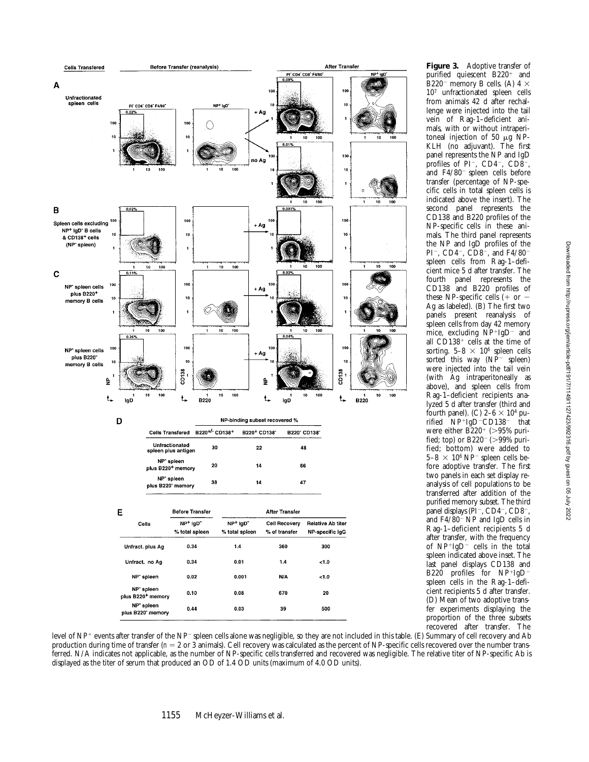

**Figure 3.** Adoptive transfer of purified quiescent B220<sup>+</sup> and B220<sup>-</sup> memory B cells. (A)  $4 \times$ 107 unfractionated spleen cells from animals 42 d after rechallenge were injected into the tail vein of Rag-1–deficient animals, with or without intraperitoneal injection of 50  $\mu$ g NP-KLH (no adjuvant). The first panel represents the NP and IgD profiles of PI<sup>-</sup>, CD4<sup>-</sup>, CD8<sup>-</sup>, and  $F4/80$ <sup>-</sup> spleen cells before transfer (percentage of NP-specific cells in total spleen cells is indicated above the insert). The second panel represents the CD138 and B220 profiles of the NP-specific cells in these animals. The third panel represents the NP and IgD profiles of the PI<sup>-</sup>, CD4<sup>-</sup>, CD8<sup>-</sup>, and F4/80<sup>-</sup> spleen cells from Rag-1–deficient mice 5 d after transfer. The fourth panel represents the CD138 and B220 profiles of these NP-specific cells  $(+ or -$ Ag as labeled). (B) The first two panels present reanalysis of spleen cells from day 42 memory mice, excluding  $\text{NP}^{+}\text{IgD}^{-}$  and all  $CD138<sup>+</sup>$  cells at the time of sorting.  $5-8 \times 10^6$  spleen cells sorted this way  $(NP^{-}$  spleen) were injected into the tail vein (with Ag intraperitoneally as above), and spleen cells from Rag-1–deficient recipients analyzed 5 d after transfer (third and fourth panel). (C)  $2-6 \times 10^4$  purified  $NP+IgD-CD138$ <sup>-</sup> that were either  $B220^+$  ( $>95\%$  purified; top) or  $B220^-$  ( $>99\%$  purified; bottom) were added to  $5-8 \times 10^6$  NP<sup>-</sup> spleen cells before adoptive transfer. The first two panels in each set display reanalysis of cell populations to be transferred after addition of the purified memory subset. The third panel displays (PI<sup>-</sup>, CD4<sup>-</sup>, CD8<sup>-</sup>, and  $F4/80^-$  NP and IgD cells in Rag-1–deficient recipients 5 d after transfer, with the frequency of  $NP+IgD^-$  cells in the total spleen indicated above inset. The last panel displays CD138 and B220 profiles for  $NP+IgD^$ spleen cells in the Rag-1–deficient recipients 5 d after transfer. (D) Mean of two adoptive transfer experiments displaying the proportion of the three subsets recovered after transfer. The

level of NP<sup>+</sup> events after transfer of the NP<sup>-</sup> spleen cells alone was negligible, so they are not included in this table. (E) Summary of cell recovery and Ab production during time of transfer (*n* = 2 or 3 animals). Cell recovery was calculated as the percent of NP-specific cells recovered over the number transferred. N/A indicates not applicable, as the number of NP-specific cells transferred and recovered was negligible. The relative titer of NP-specific Ab is displayed as the titer of serum that produced an OD of 1.4 OD units (maximum of 4.0 OD units).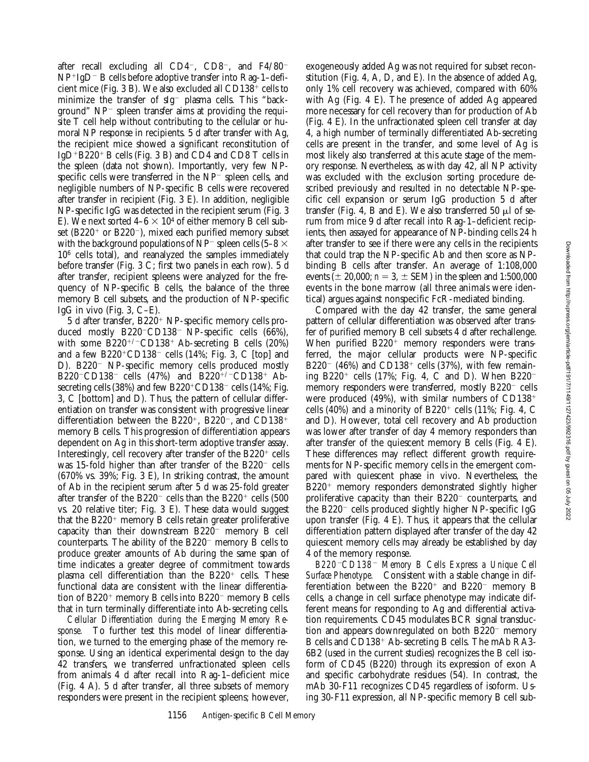after recall excluding all  $CD4^-$ ,  $CD8^-$ , and  $F4/80^ NP+IgD-B$  cells before adoptive transfer into Rag-1–deficient mice (Fig. 3 B). We also excluded all  $CD138<sup>+</sup>$  cells to minimize the transfer of sIg<sup>-</sup> plasma cells. This "background"  $NP^-$  spleen transfer aims at providing the requisite T cell help without contributing to the cellular or humoral NP response in recipients. 5 d after transfer with Ag, the recipient mice showed a significant reconstitution of IgD<sup>+</sup>B220<sup>+</sup> B cells (Fig. 3 B) and CD4 and CD8 T cells in the spleen (data not shown). Importantly, very few NPspecific cells were transferred in the  $NP^-$  spleen cells, and negligible numbers of NP-specific B cells were recovered after transfer in recipient (Fig. 3 E). In addition, negligible NP-specific IgG was detected in the recipient serum (Fig. 3 E). We next sorted  $4-6 \times 10^4$  of either memory B cell subset (B220<sup>+</sup> or B220<sup>-</sup>), mixed each purified memory subset with the background populations of NP<sup>-</sup> spleen cells (5–8  $\times$  $10<sup>6</sup>$  cells total), and reanalyzed the samples immediately before transfer (Fig. 3 C; first two panels in each row). 5 d after transfer, recipient spleens were analyzed for the frequency of NP-specific B cells, the balance of the three memory B cell subsets, and the production of NP-specific IgG in vivo (Fig. 3, C–E).

 $5$  d after transfer,  $B220<sup>+</sup>$  NP-specific memory cells produced mostly  $B220$ <sup>-</sup>CD138<sup>-</sup> NP-specific cells (66%), with some  $B220^{+/-}CD138^+$  Ab-secreting B cells (20%) and a few  $B220^{\circ}CD138^-$  cells (14%; Fig. 3, C [top] and D). B220<sup>-</sup> NP-specific memory cells produced mostly B220<sup>-</sup>CD138<sup>-</sup> cells (47%) and B220<sup>+/-</sup>CD138<sup>+</sup> Absecreting cells (38%) and few  $B220^{\circ}CD138$ <sup>-</sup> cells (14%; Fig. 3, C [bottom] and D). Thus, the pattern of cellular differentiation on transfer was consistent with progressive linear differentiation between the B220<sup>+</sup>, B220<sup>-</sup>, and CD138<sup>+</sup> memory B cells. This progression of differentiation appears dependent on Ag in this short-term adoptive transfer assay. Interestingly, cell recovery after transfer of the  $B220<sup>+</sup>$  cells was 15-fold higher than after transfer of the  $B220^-$  cells (670% vs. 39%; Fig. 3 E), In striking contrast, the amount of Ab in the recipient serum after 5 d was 25-fold greater after transfer of the B220<sup>-</sup> cells than the B220<sup>+</sup> cells (500 vs. 20 relative titer; Fig. 3 E). These data would suggest that the  $B220<sup>+</sup>$  memory B cells retain greater proliferative capacity than their downstream  $B220^-$  memory B cell counterparts. The ability of the  $B220^-$  memory B cells to produce greater amounts of Ab during the same span of time indicates a greater degree of commitment towards plasma cell differentiation than the  $B220<sup>+</sup>$  cells. These functional data are consistent with the linear differentiation of B220<sup>+</sup> memory B cells into B220<sup>-</sup> memory B cells that in turn terminally differentiate into Ab-secreting cells.

*Cellular Differentiation during the Emerging Memory Response.* To further test this model of linear differentiation, we turned to the emerging phase of the memory response. Using an identical experimental design to the day 42 transfers, we transferred unfractionated spleen cells from animals 4 d after recall into Rag-1–deficient mice (Fig. 4 A). 5 d after transfer, all three subsets of memory responders were present in the recipient spleens; however,

exogeneously added Ag was not required for subset reconstitution (Fig. 4, A, D, and E). In the absence of added Ag, only 1% cell recovery was achieved, compared with 60% with Ag (Fig. 4 E). The presence of added Ag appeared more necessary for cell recovery than for production of Ab (Fig. 4 E). In the unfractionated spleen cell transfer at day 4, a high number of terminally differentiated Ab-secreting cells are present in the transfer, and some level of Ag is most likely also transferred at this acute stage of the memory response. Nevertheless, as with day 42, all NP activity was excluded with the exclusion sorting procedure described previously and resulted in no detectable NP-specific cell expansion or serum IgG production 5 d after transfer (Fig. 4, B and E). We also transferred 50  $\mu$ l of serum from mice 9 d after recall into Rag-1–deficient recipients, then assayed for appearance of NP-binding cells 24 h after transfer to see if there were any cells in the recipients that could trap the NP-specific Ab and then score as NPbinding B cells after transfer. An average of 1:108,000 events ( $\pm$  20,000; *n* = 3,  $\pm$  SEM) in the spleen and 1:500,000 events in the bone marrow (all three animals were identical) argues against nonspecific FcR-mediated binding.

Compared with the day 42 transfer, the same general pattern of cellular differentiation was observed after transfer of purified memory B cell subsets 4 d after rechallenge. When purified  $B220<sup>+</sup>$  memory responders were transferred, the major cellular products were NP-specific B220<sup>-</sup> (46%) and CD138<sup>+</sup> cells (37%), with few remaining B220<sup>+</sup> cells (17%; Fig. 4, C and D). When B220<sup>-</sup> memory responders were transferred, mostly  $B220^-$  cells were produced  $(49\%)$ , with similar numbers of CD138<sup>+</sup> cells (40%) and a minority of B220<sup>+</sup> cells (11%; Fig. 4, C and D). However, total cell recovery and Ab production was lower after transfer of day 4 memory responders than after transfer of the quiescent memory B cells (Fig. 4 E). These differences may reflect different growth requirements for NP-specific memory cells in the emergent compared with quiescent phase in vivo. Nevertheless, the  $B220<sup>+</sup>$  memory responders demonstrated slightly higher proliferative capacity than their B220<sup>-</sup> counterparts, and the B220 $^{-}$  cells produced slightly higher NP-specific IgG upon transfer (Fig. 4 E). Thus, it appears that the cellular differentiation pattern displayed after transfer of the day 42 quiescent memory cells may already be established by day 4 of the memory response.

*B220*2*CD138*2 *Memory B Cells Express a Unique Cell Surface Phenotype.* Consistent with a stable change in differentiation between the  $B220<sup>+</sup>$  and  $B220<sup>-</sup>$  memory B cells, a change in cell surface phenotype may indicate different means for responding to Ag and differential activation requirements. CD45 modulates BCR signal transduction and appears downregulated on both  $B220<sup>-</sup>$  memory B cells and  $CD138<sup>+</sup>$  Ab-secreting B cells. The mAb RA3-6B2 (used in the current studies) recognizes the B cell isoform of CD45 (B220) through its expression of exon A and specific carbohydrate residues (54). In contrast, the mAb 30-F11 recognizes CD45 regardless of isoform. Using 30-F11 expression, all NP-specific memory B cell sub-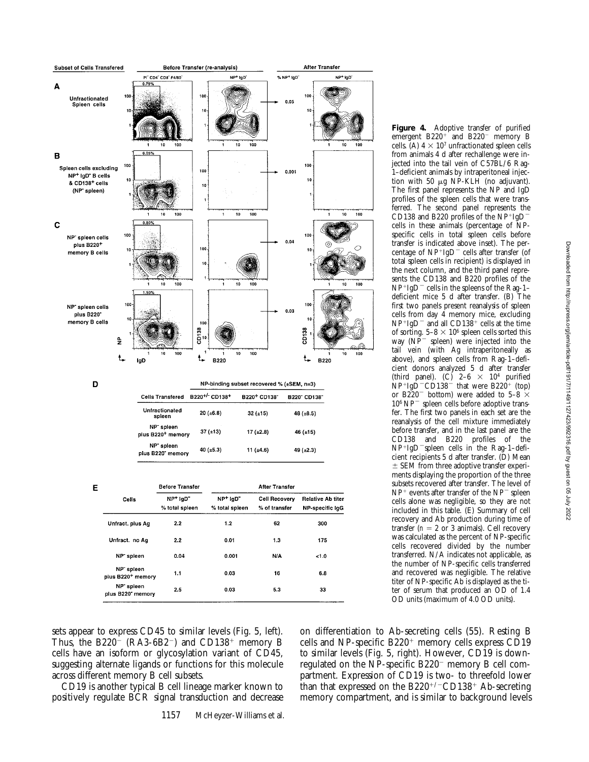

sets appear to express CD45 to similar levels (Fig. 5, left). Thus, the B220<sup>-</sup> (RA3-6B2<sup>-</sup>) and CD138<sup>+</sup> memory B cells have an isoform or glycosylation variant of CD45, suggesting alternate ligands or functions for this molecule across different memory B cell subsets.

CD19 is another typical B cell lineage marker known to positively regulate BCR signal transduction and decrease

**Figure 4.** Adoptive transfer of purified emergent  $B220<sup>+</sup>$  and  $B220<sup>-</sup>$  memory B cells. (A)  $4 \times 10^7$  unfractionated spleen cells from animals 4 d after rechallenge were injected into the tail vein of C57BL/6 Rag-1–deficient animals by intraperitoneal injection with 50  $\mu$ g NP-KLH (no adjuvant). The first panel represents the NP and IgD profiles of the spleen cells that were transferred. The second panel represents the CD138 and B220 profiles of the  $NP+IgD$ <sup>-</sup> cells in these animals (percentage of NPspecific cells in total spleen cells before transfer is indicated above inset). The percentage of  $NP+IgD^-$  cells after transfer (of total spleen cells in recipient) is displayed in the next column, and the third panel represents the CD138 and B220 profiles of the  $NP+IgD^-$  cells in the spleens of the Rag-1– deficient mice 5 d after transfer. (B) The first two panels present reanalysis of spleen cells from day 4 memory mice, excluding  $NP+IgD^-$  and all CD138<sup>+</sup> cells at the time of sorting.  $5-8 \times 10^6$  spleen cells sorted this way  $(NP^-$  spleen) were injected into the tail vein (with Ag intraperitoneally as above), and spleen cells from Rag-1–deficient donors analyzed 5 d after transfer (third panel). (C)  $2-6 \times 10^4$  purified  $NP+Ig\bar{D}$ <sup>-</sup>CD138<sup>-</sup> that were B220<sup>+</sup> (top) or B220<sup>-</sup> bottom) were added to 5–8  $\times$  $10^6$  NP<sup> $-$ </sup> spleen cells before adoptive transfer. The first two panels in each set are the reanalysis of the cell mixture immediately before transfer, and in the last panel are the CD138 and B220 profiles of the  $NP+IgD$ <sup>-</sup>spleen cells in the Rag-1-deficient recipients 5 d after transfer. (D) Mean  $\pm$  SEM from three adoptive transfer experiments displaying the proportion of the three subsets recovered after transfer. The level of  $NP^+$  events after transfer of the  $NP^-$  spleen cells alone was negligible, so they are not included in this table. (E) Summary of cell recovery and Ab production during time of transfer  $(n = 2 \text{ or } 3 \text{ animals})$ . Cell recovery was calculated as the percent of NP-specific cells recovered divided by the number transferred. N/A indicates not applicable, as the number of NP-specific cells transferred and recovered was negligible. The relative titer of NP-specific Ab is displayed as the titer of serum that produced an OD of 1.4 OD units (maximum of 4.0 OD units).

on differentiation to Ab-secreting cells (55). Resting B cells and NP-specific  $B220<sup>+</sup>$  memory cells express CD19 to similar levels (Fig. 5, right). However, CD19 is downregulated on the NP-specific  $B220^-$  memory B cell compartment. Expression of CD19 is two- to threefold lower than that expressed on the  $B220^{+/-}CD138^+$  Ab-secreting memory compartment, and is similar to background levels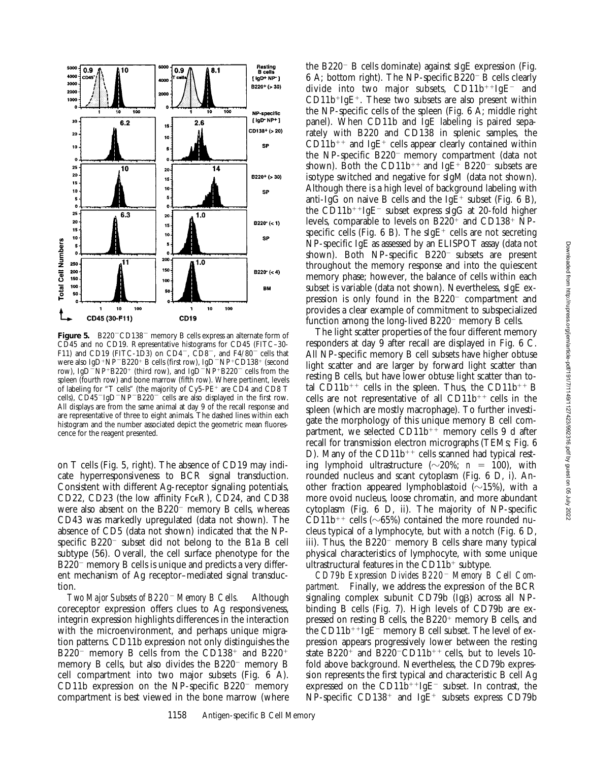

**Figure 5.** B220<sup>-</sup>CD138<sup>-</sup> memory B cells express an alternate form of CD45 and no CD19. Representative histograms for CD45 (FITC–30- F11) and CD19 (FITC-1D3) on CD4<sup>-</sup>, CD8<sup>-</sup>, and F4/80<sup>-</sup> cells that were also IgD<sup>+</sup>NP<sup>-</sup>B220<sup>+</sup> B cells (first row), IgD<sup>-</sup>NP<sup>+</sup>CD138<sup>+</sup> (second row), IgD<sup> $-NP+B220$ <sup>+</sup> (third row), and IgD<sup> $-NP+B220$ <sup>-</sup> cells from the</sup></sup> spleen (fourth row) and bone marrow (fifth row). Where pertinent, levels of labeling for "T cells" (the majority of  $Cy5-PE^+$  are CD4 and CD8 T cells),  $CD45^-$ IgD<sup>-</sup>NP<sup>-</sup>B220<sup>-</sup> cells are also displayed in the first row. All displays are from the same animal at day 9 of the recall response and are representative of three to eight animals. The dashed lines within each histogram and the number associated depict the geometric mean fluorescence for the reagent presented.

on T cells (Fig. 5, right). The absence of CD19 may indicate hyperresponsiveness to BCR signal transduction. Consistent with different Ag-receptor signaling potentials, CD22, CD23 (the low affinity FceR), CD24, and CD38 were also absent on the  $B220^-$  memory B cells, whereas CD43 was markedly upregulated (data not shown). The absence of CD5 (data not shown) indicated that the NPspecific  $B220^-$  subset did not belong to the B1a B cell subtype (56). Overall, the cell surface phenotype for the  $B220^-$  memory B cells is unique and predicts a very different mechanism of Ag receptor–mediated signal transduction.

*Two Major Subsets of B220*2 *Memory B Cells.* Although coreceptor expression offers clues to Ag responsiveness, integrin expression highlights differences in the interaction with the microenvironment, and perhaps unique migration patterns. CD11b expression not only distinguishes the B220<sup>-</sup> memory B cells from the CD138<sup>+</sup> and B220<sup>+</sup> memory B cells, but also divides the  $B220<sup>-</sup>$  memory B cell compartment into two major subsets (Fig. 6 A). CD11b expression on the NP-specific  $B220^-$  memory compartment is best viewed in the bone marrow (where the B220<sup>-</sup> B cells dominate) against sIgE expression (Fig. 6 A; bottom right). The NP-specific B220<sup>-</sup> B cells clearly divide into two major subsets,  $CD11b^{++}IgE^-$  and  $CD11b^{+}IgE^{+}$ . These two subsets are also present within the NP-specific cells of the spleen (Fig. 6 A; middle right panel). When CD11b and IgE labeling is paired separately with B220 and CD138 in splenic samples, the  $CD11b^{++}$  and IgE<sup>+</sup> cells appear clearly contained within the NP-specific  $B220^-$  memory compartment (data not shown). Both the CD11b<sup>++</sup> and IgE<sup>+</sup> B220<sup>-</sup> subsets are isotype switched and negative for sIgM (data not shown). Although there is a high level of background labeling with anti-IgG on naive B cells and the IgE<sup>+</sup> subset (Fig. 6 B), the CD11b<sup>++</sup>IgE<sup>-</sup> subset express sIgG at 20-fold higher levels, comparable to levels on  $B220^+$  and  $CD138^+$  NPspecific cells (Fig. 6 B). The sIgE<sup>+</sup> cells are not secreting NP-specific IgE as assessed by an ELISPOT assay (data not shown). Both NP-specific  $B220^-$  subsets are present throughout the memory response and into the quiescent memory phase; however, the balance of cells within each subset is variable (data not shown). Nevertheless, sIgE expression is only found in the  $B220^-$  compartment and provides a clear example of commitment to subspecialized function among the long-lived  $B220^-$  memory B cells.

The light scatter properties of the four different memory responders at day 9 after recall are displayed in Fig. 6 C. All NP-specific memory B cell subsets have higher obtuse light scatter and are larger by forward light scatter than resting B cells, but have lower obtuse light scatter than total CD11b<sup>++</sup> cells in the spleen. Thus, the CD11b<sup>++</sup> B cells are not representative of all  $CD11b^{++}$  cells in the spleen (which are mostly macrophage). To further investigate the morphology of this unique memory B cell compartment, we selected  $CD11b^{++}$  memory cells 9 d after recall for transmission electron micrographs (TEMs; Fig. 6 D). Many of the  $CD11b^{++}$  cells scanned had typical resting lymphoid ultrastructure  $(\sim 20\%; n = 100)$ , with rounded nucleus and scant cytoplasm (Fig. 6 D, i). Another fraction appeared lymphoblastoid  $(\sim 15\%)$ , with a more ovoid nucleus, loose chromatin, and more abundant cytoplasm (Fig. 6 D, ii). The majority of NP-specific CD11b<sup>++</sup> cells ( $\sim$ 65%) contained the more rounded nucleus typical of a lymphocyte, but with a notch (Fig. 6 D, iii). Thus, the  $B220^-$  memory B cells share many typical physical characteristics of lymphocyte, with some unique ultrastructural features in the  $CD11b<sup>+</sup>$  subtype.

CD79b Expression Divides B220<sup>-</sup> Memory B Cell Com*partment.* Finally, we address the expression of the BCR signaling complex subunit CD79b (IgB) across all NPbinding B cells (Fig. 7). High levels of CD79b are expressed on resting B cells, the  $B220<sup>+</sup>$  memory B cells, and the  $CD11b^{++}IgE^-$  memory B cell subset. The level of expression appears progressively lower between the resting state  $B220^+$  and  $B220$ <sup>-</sup>CD11b<sup>++</sup> cells, but to levels 10fold above background. Nevertheless, the CD79b expression represents the first typical and characteristic B cell Ag expressed on the CD11b<sup>++</sup>IgE<sup>-</sup> subset. In contrast, the  $NP$ -specific CD138<sup>+</sup> and IgE<sup>+</sup> subsets express CD79b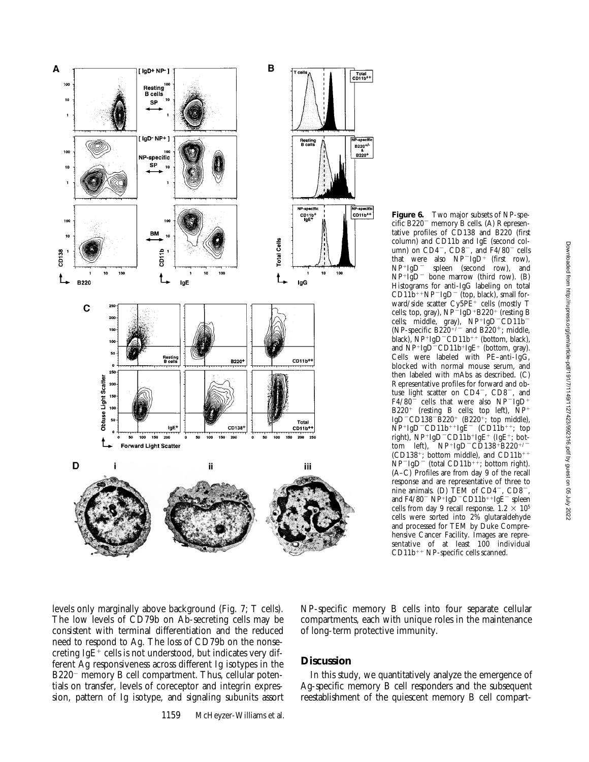

 $CD1\bar{1}b^{++}NP^{-}IgD^-$  (top, black), small forward/side scatter Cy5PE<sup>+</sup> cells (mostly T cells; top, gray),  $NP^{-}IgD+B220^{+}$  (resting B cells; middle, gray),  $NP+IgD-CD11b$ <sup>-</sup> (NP-specific B220<sup>+/-</sup> and B220<sup>+</sup>; middle, black),  $NP+IgD-CD11b++$  (bottom, black), and  $NP+IgD-CD11b+IgE^+$  (bottom, gray). Cells were labeled with PE–anti-IgG, blocked with normal mouse serum, and then labeled with mAbs as described. (C) Representative profiles for forward and obtuse light scatter on  $CD4^-$ ,  $CD8^-$ , and  $F4/80$ <sup>-</sup> cells that were also NP<sup>-</sup>IgD<sup>+</sup>  $B220^+$  (resting B cells; top left),  $\tilde{N}P^+$ IgD<sup>-</sup>CD138<sup>-B<sub>220<sup>+</sup></sup> (B220<sup>+</sup>; top middle),</sup></sub>  $\overrightarrow{NP}$ <sup>+</sup>IgD<sup>-</sup>CD11b<sup>++</sup>IgE<sup>-</sup> (CD11b<sup>++</sup>; top right),  $NP+IgD-CDI1b+IgE+ (IgE+; bot$ tom left),  $N P + I g D - C D 138 + B220$ <sup>+/</sup> (CD138<sup>+</sup>; bottom middle), and CD11b<sup>++</sup>  $NP^-IgD^-$  (total CD11b<sup>++</sup>; bottom right). (A–C) Profiles are from day 9 of the recall response and are representative of three to nine animals. (D)  $\text{TEM of } \text{CD4}^-$ ,  $\text{CD8}^-$ , and  $F4/80^-$  NP+IgD<sup>-</sup>CD11b<sup>++</sup>IgE<sup>-</sup> spleen cells from day 9 recall response.  $1.2 \times 10^5$ cells were sorted into 2% glutaraldehyde and processed for TEM by Duke Comprehensive Cancer Facility. Images are representative of at least 100 individual  $CD11b^{++}$  NP-specific cells scanned.

**Figure 6.** Two major subsets of NP-spe $cific B220$ <sup>-</sup> memory B cells. (A) Representative profiles of CD138 and B220 (first column) and CD11b and IgE (second column) on  $CD4^-$ ,  $CD8^-$ , and  $F4/80^-$  cells that were also  $NP^{-}IgD^{+}$  (first row),<br> $NP^{+}IgD^{-}$  spleen (second row), and

 $NP^{+}IgD^{-}$  bone marrow (third row). (B) Histograms for anti-IgG labeling on total

spleen (second row), and

levels only marginally above background (Fig. 7; T cells). The low levels of CD79b on Ab-secreting cells may be consistent with terminal differentiation and the reduced need to respond to Ag. The loss of CD79b on the nonsecreting IgE<sup>+</sup> cells is not understood, but indicates very different Ag responsiveness across different Ig isotypes in the  $B220^-$  memory B cell compartment. Thus, cellular potentials on transfer, levels of coreceptor and integrin expression, pattern of Ig isotype, and signaling subunits assort

### NP-specific memory B cells into four separate cellular compartments, each with unique roles in the maintenance of long-term protective immunity.

# **Discussion**

In this study, we quantitatively analyze the emergence of Ag-specific memory B cell responders and the subsequent reestablishment of the quiescent memory B cell compart-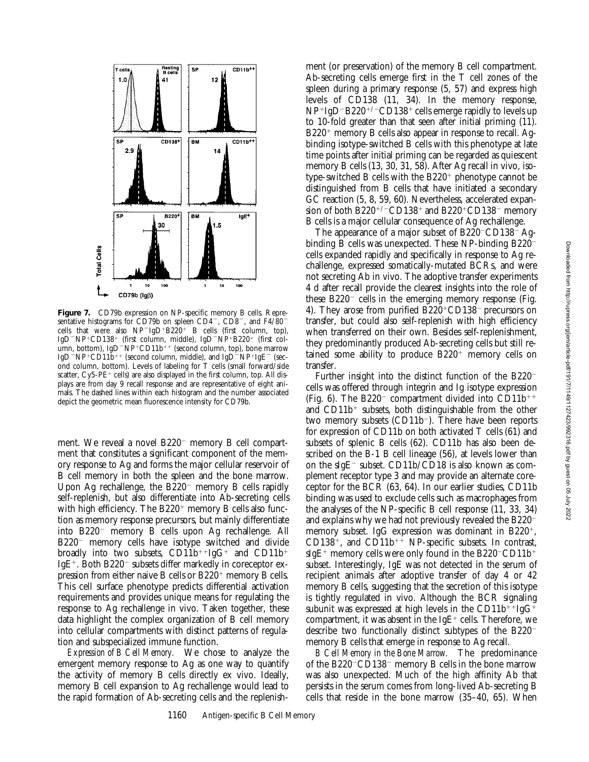

ment (or preservation) of the memory B cell compartment. Ab-secreting cells emerge first in the T cell zones of the



*B Cell Memory in the Bone Marrow.* The predominance of the  $B220$ <sup>-</sup>CD138<sup>-</sup> memory B cells in the bone marrow was also unexpected. Much of the high affinity Ab that persists in the serum comes from long-lived Ab-secreting B cells that reside in the bone marrow (35–40, 65). When



**Figure 7.** CD79b expression on NP-specific memory B cells. Representative histograms for CD79b on spleen CD4<sup>-</sup>, CD8<sup>-</sup>, and F4/80<sup>-</sup> cells that were also  $NP^-IgD^+B220^+$  B cells (first column, top), IgD<sup>-</sup>NP<sup>+</sup>CD138<sup>+</sup> (first column, middle), IgD<sup>-</sup>NP<sup>+</sup>B220<sup>+</sup> (first column, bottom), IgD<sup>-</sup>NP<sup>+</sup>CD11b<sup>++</sup> (second column, top), bone marrow IgD<sup>-</sup>NP<sup>+</sup>CD11 $\bar{b}$ <sup>++</sup> (second column, middle), and IgD<sup>-</sup>NP<sup>+</sup>IgE<sup>-</sup> (second column, bottom). Levels of labeling for T cells (small forward/side scatter,  $Cy5-PE^{+}$  cells) are also displayed in the first column, top. All displays are from day 9 recall response and are representative of eight animals. The dashed lines within each histogram and the number associated depict the geometric mean fluorescence intensity for CD79b.

ment. We reveal a novel  $B220^-$  memory B cell compartment that constitutes a significant component of the memory response to Ag and forms the major cellular reservoir of B cell memory in both the spleen and the bone marrow. Upon Ag rechallenge, the  $B220^-$  memory B cells rapidly self-replenish, but also differentiate into Ab-secreting cells with high efficiency. The  $B220<sup>+</sup>$  memory B cells also function as memory response precursors, but mainly differentiate into B220<sup>-</sup> memory B cells upon Ag rechallenge. All  $B220$ <sup>-</sup> memory cells have isotype switched and divide broadly into two subsets,  $CD11b^{++}IgG^+$  and  $CD11b^+$ IgE<sup>+</sup>. Both B220<sup>-</sup> subsets differ markedly in coreceptor expression from either naive B cells or  $B220^+$  memory B cells. This cell surface phenotype predicts differential activation requirements and provides unique means for regulating the response to Ag rechallenge in vivo. Taken together, these data highlight the complex organization of B cell memory into cellular compartments with distinct patterns of regulation and subspecialized immune function.

*Expression of B Cell Memory.* We chose to analyze the emergent memory response to Ag as one way to quantify the activity of memory B cells directly ex vivo. Ideally, memory B cell expansion to Ag rechallenge would lead to the rapid formation of Ab-secreting cells and the replenish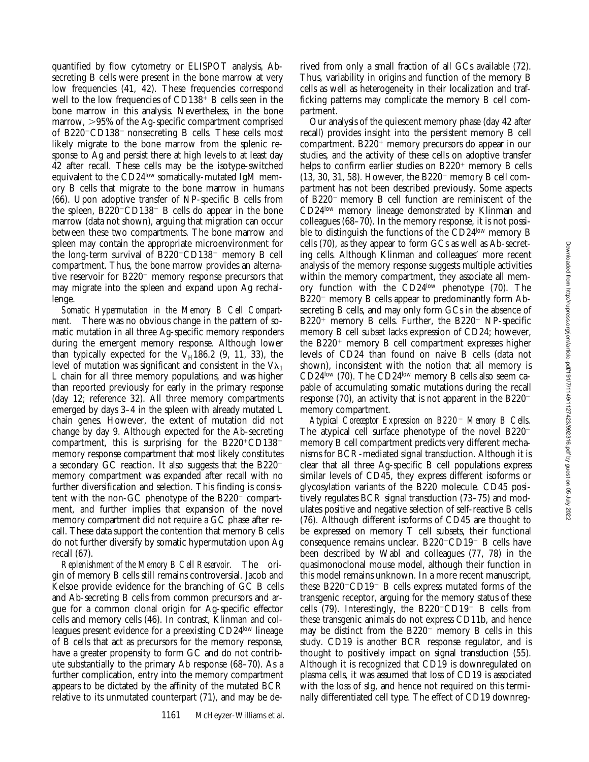quantified by flow cytometry or ELISPOT analysis, Absecreting B cells were present in the bone marrow at very low frequencies (41, 42). These frequencies correspond well to the low frequencies of  $CD138<sup>+</sup>$  B cells seen in the bone marrow in this analysis. Nevertheless, in the bone marrow,  $>95\%$  of the Ag-specific compartment comprised of B220 $\sim$ CD138 $\sim$  nonsecreting B cells. These cells most likely migrate to the bone marrow from the splenic response to Ag and persist there at high levels to at least day 42 after recall. These cells may be the isotype-switched equivalent to the CD24low somatically-mutated IgM memory B cells that migrate to the bone marrow in humans (66). Upon adoptive transfer of NP-specific B cells from the spleen,  $B220$ <sup>-</sup>CD138<sup>-</sup> B cells do appear in the bone marrow (data not shown), arguing that migration can occur between these two compartments. The bone marrow and spleen may contain the appropriate microenvironment for the long-term survival of  $B220$ <sup>-</sup>CD138<sup>-</sup> memory B cell compartment. Thus, the bone marrow provides an alternative reservoir for  $B220^-$  memory response precursors that may migrate into the spleen and expand upon Ag rechallenge.

*Somatic Hypermutation in the Memory B Cell Compartment.* There was no obvious change in the pattern of somatic mutation in all three Ag-specific memory responders during the emergent memory response. Although lower than typically expected for the  $V_H$ 186.2 (9, 11, 33), the level of mutation was significant and consistent in the  $V_{\lambda_1}$ L chain for all three memory populations, and was higher than reported previously for early in the primary response (day 12; reference 32). All three memory compartments emerged by days 3–4 in the spleen with already mutated L chain genes. However, the extent of mutation did not change by day 9. Although expected for the Ab-secreting compartment, this is surprising for the  $B220^{\circ}CD138^$ memory response compartment that most likely constitutes a secondary GC reaction. It also suggests that the  $B220^$ memory compartment was expanded after recall with no further diversification and selection. This finding is consistent with the non-GC phenotype of the  $B220^-$  compartment, and further implies that expansion of the novel memory compartment did not require a GC phase after recall. These data support the contention that memory B cells do not further diversify by somatic hypermutation upon Ag recall (67).

*Replenishment of the Memory B Cell Reservoir.* The origin of memory B cells still remains controversial. Jacob and Kelsoe provide evidence for the branching of GC B cells and Ab-secreting B cells from common precursors and argue for a common clonal origin for Ag-specific effector cells and memory cells (46). In contrast, Klinman and colleagues present evidence for a preexisting CD24low lineage of B cells that act as precursors for the memory response, have a greater propensity to form GC and do not contribute substantially to the primary Ab response (68–70). As a further complication, entry into the memory compartment appears to be dictated by the affinity of the mutated BCR relative to its unmutated counterpart (71), and may be de-

rived from only a small fraction of all GCs available (72). Thus, variability in origins and function of the memory B cells as well as heterogeneity in their localization and trafficking patterns may complicate the memory B cell compartment.

Our analysis of the quiescent memory phase (day 42 after recall) provides insight into the persistent memory B cell compartment.  $B220<sup>+</sup>$  memory precursors do appear in our studies, and the activity of these cells on adoptive transfer helps to confirm earlier studies on  $B220^+$  memory B cells  $(13, 30, 31, 58)$ . However, the B220<sup>-</sup> memory B cell compartment has not been described previously. Some aspects of B220<sup>-</sup> memory B cell function are reminiscent of the CD24low memory lineage demonstrated by Klinman and colleagues (68–70). In the memory response, it is not possible to distinguish the functions of the CD24<sup>low</sup> memory B cells (70), as they appear to form GCs as well as Ab-secreting cells. Although Klinman and colleagues' more recent analysis of the memory response suggests multiple activities within the memory compartment, they associate all memory function with the  $CD24^{\text{low}}$  phenotype (70). The  $B220$ <sup>-</sup> memory B cells appear to predominantly form Absecreting B cells, and may only form GCs in the absence of  $B220<sup>+</sup>$  memory B cells. Further, the B220<sup>-</sup> NP-specific memory B cell subset lacks expression of CD24; however, the  $B220$ <sup>+</sup> memory B cell compartment expresses higher levels of CD24 than found on naive B cells (data not shown), inconsistent with the notion that all memory is CD24low (70). The CD24low memory B cells also seem capable of accumulating somatic mutations during the recall response (70), an activity that is not apparent in the  $B220^$ memory compartment.

*Atypical Coreceptor Expression on B220*2 *Memory B Cells.* The atypical cell surface phenotype of the novel  $B220^$ memory B cell compartment predicts very different mechanisms for BCR-mediated signal transduction. Although it is clear that all three Ag-specific B cell populations express similar levels of CD45, they express different isoforms or glycosylation variants of the B220 molecule. CD45 positively regulates BCR signal transduction (73–75) and modulates positive and negative selection of self-reactive B cells (76). Although different isoforms of CD45 are thought to be expressed on memory T cell subsets, their functional consequence remains unclear.  $B220$ <sup>-</sup>CD19<sup>-</sup> B cells have been described by Wabl and colleagues (77, 78) in the quasimonoclonal mouse model, although their function in this model remains unknown. In a more recent manuscript, these  $B220$ <sup>-</sup>CD19<sup>-</sup> B cells express mutated forms of the transgenic receptor, arguing for the memory status of these cells  $(79)$ . Interestingly, the B220<sup>-</sup>CD19<sup>-</sup> B cells from these transgenic animals do not express CD11b, and hence may be distinct from the  $B220^-$  memory B cells in this study. CD19 is another BCR response regulator, and is thought to positively impact on signal transduction (55). Although it is recognized that CD19 is downregulated on plasma cells, it was assumed that loss of CD19 is associated with the loss of sIg, and hence not required on this terminally differentiated cell type. The effect of CD19 downreg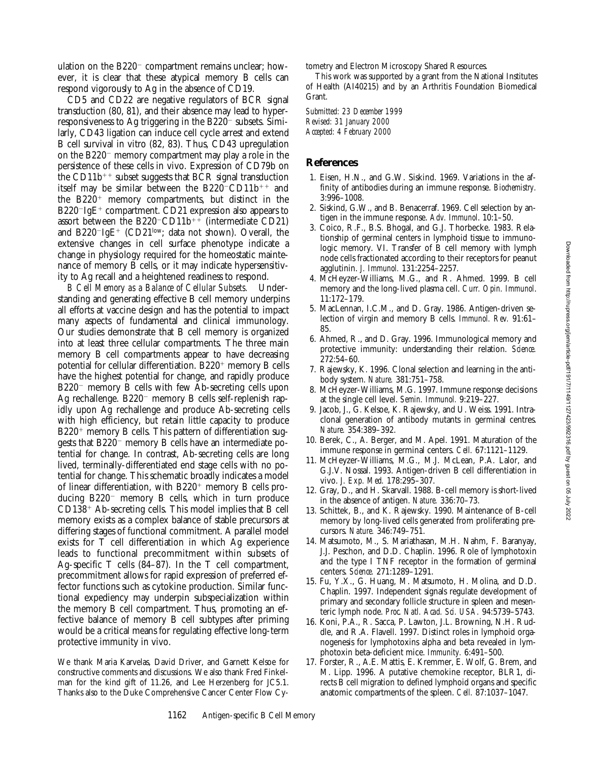ulation on the  $B220^-$  compartment remains unclear; however, it is clear that these atypical memory B cells can respond vigorously to Ag in the absence of CD19.

CD5 and CD22 are negative regulators of BCR signal transduction (80, 81), and their absence may lead to hyperresponsiveness to Ag triggering in the  $B220^-$  subsets. Similarly, CD43 ligation can induce cell cycle arrest and extend B cell survival in vitro (82, 83). Thus, CD43 upregulation on the  $B220^-$  memory compartment may play a role in the persistence of these cells in vivo. Expression of CD79b on the  $CD11b^{++}$  subset suggests that BCR signal transduction itself may be similar between the  $B220$ <sup>-</sup>CD11b<sup>++</sup> and the  $B220<sup>+</sup>$  memory compartments, but distinct in the  $B220$ <sup>-</sup>IgE<sup>+</sup> compartment. CD21 expression also appears to assort between the B220<sup>-</sup>CD11b<sup>++</sup> (intermediate CD21) and B220<sup>-</sup>IgE<sup>+</sup> (CD21<sup>low</sup>; data not shown). Overall, the extensive changes in cell surface phenotype indicate a change in physiology required for the homeostatic maintenance of memory B cells, or it may indicate hypersensitivity to Ag recall and a heightened readiness to respond.

*B Cell Memory as a Balance of Cellular Subsets.* Understanding and generating effective B cell memory underpins all efforts at vaccine design and has the potential to impact many aspects of fundamental and clinical immunology. Our studies demonstrate that B cell memory is organized into at least three cellular compartments. The three main memory B cell compartments appear to have decreasing potential for cellular differentiation.  $B220^+$  memory B cells have the highest potential for change, and rapidly produce  $B220^-$  memory B cells with few Ab-secreting cells upon Ag rechallenge.  $B220^-$  memory B cells self-replenish rapidly upon Ag rechallenge and produce Ab-secreting cells with high efficiency, but retain little capacity to produce  $B220<sup>+</sup>$  memory B cells. This pattern of differentiation suggests that  $B220^-$  memory B cells have an intermediate potential for change. In contrast, Ab-secreting cells are long lived, terminally-differentiated end stage cells with no potential for change. This schematic broadly indicates a model of linear differentiation, with  $B220<sup>+</sup>$  memory B cells producing  $B220^-$  memory B cells, which in turn produce  $CD138<sup>+</sup>$  Ab-secreting cells. This model implies that B cell memory exists as a complex balance of stable precursors at differing stages of functional commitment. A parallel model exists for T cell differentiation in which Ag experience leads to functional precommitment within subsets of Ag-specific T cells (84–87). In the T cell compartment, precommitment allows for rapid expression of preferred effector functions such as cytokine production. Similar functional expediency may underpin subspecialization within the memory B cell compartment. Thus, promoting an effective balance of memory B cell subtypes after priming would be a critical means for regulating effective long-term protective immunity in vivo.

We thank Maria Karvelas, David Driver, and Garnett Kelsoe for constructive comments and discussions. We also thank Fred Finkelman for the kind gift of 11.26, and Lee Herzenberg for JC5.1. Thanks also to the Duke Comprehensive Cancer Center Flow Cytometry and Electron Microscopy Shared Resources.

This work was supported by a grant from the National Institutes of Health (AI40215) and by an Arthritis Foundation Biomedical Grant.

*Submitted: 23 December 1999 Revised: 31 January 2000 Accepted: 4 February 2000*

#### **References**

- 1. Eisen, H.N., and G.W. Siskind. 1969. Variations in the affinity of antibodies during an immune response. *Biochemistry.* 3:996–1008.
- 2. Siskind, G.W., and B. Benacerraf. 1969. Cell selection by antigen in the immune response. *Adv. Immunol*. 10:1–50.
- 3. Coico, R.F., B.S. Bhogal, and G.J. Thorbecke. 1983. Relationship of germinal centers in lymphoid tissue to immunologic memory. VI. Transfer of B cell memory with lymph node cells fractionated according to their receptors for peanut agglutinin. *J. Immunol.* 131:2254–2257.
- 4. McHeyzer-Williams, M.G., and R. Ahmed. 1999. B cell memory and the long-lived plasma cell. *Curr. Opin. Immunol*. 11:172–179.
- 5. MacLennan, I.C.M., and D. Gray. 1986. Antigen-driven selection of virgin and memory B cells. *Immunol. Rev.* 91:61– 85.
- 6. Ahmed, R., and D. Gray. 1996. Immunological memory and protective immunity: understanding their relation. *Science.* 272:54–60.
- 7. Rajewsky, K. 1996. Clonal selection and learning in the antibody system. *Nature.* 381:751–758.
- 8. McHeyzer-Williams, M.G. 1997. Immune response decisions at the single cell level. *Semin. Immunol.* 9:219–227.
- 9. Jacob, J., G. Kelsoe, K. Rajewsky, and U. Weiss. 1991. Intraclonal generation of antibody mutants in germinal centres. *Nature.* 354:389–392.
- 10. Berek, C., A. Berger, and M. Apel. 1991. Maturation of the immune response in germinal centers. *Cell.* 67:1121–1129.
- 11. McHeyzer-Williams, M.G., M.J. McLean, P.A. Lalor, and G.J.V. Nossal. 1993. Antigen-driven B cell differentiation in vivo. *J. Exp. Med.* 178:295–307.
- 12. Gray, D., and H. Skarvall. 1988. B-cell memory is short-lived in the absence of antigen. *Nature.* 336:70–73.
- 13. Schittek, B., and K. Rajewsky. 1990. Maintenance of B-cell memory by long-lived cells generated from proliferating precursors. *Nature.* 346:749–751.
- 14. Matsumoto, M., S. Mariathasan, M.H. Nahm, F. Baranyay, J.J. Peschon, and D.D. Chaplin. 1996. Role of lymphotoxin and the type I TNF receptor in the formation of germinal centers. *Science.* 271:1289–1291.
- 15. Fu, Y.X., G. Huang, M. Matsumoto, H. Molina, and D.D. Chaplin. 1997. Independent signals regulate development of primary and secondary follicle structure in spleen and mesenteric lymph node. *Proc. Natl. Acad. Sci. USA.* 94:5739–5743.
- 16. Koni, P.A., R. Sacca, P. Lawton, J.L. Browning, N.H. Ruddle, and R.A. Flavell. 1997. Distinct roles in lymphoid organogenesis for lymphotoxins alpha and beta revealed in lymphotoxin beta-deficient mice. *Immunity.* 6:491–500.
- 17. Forster, R., A.E. Mattis, E. Kremmer, E. Wolf, G. Brem, and M. Lipp. 1996. A putative chemokine receptor, BLR1, directs B cell migration to defined lymphoid organs and specific anatomic compartments of the spleen. *Cell.* 87:1037–1047.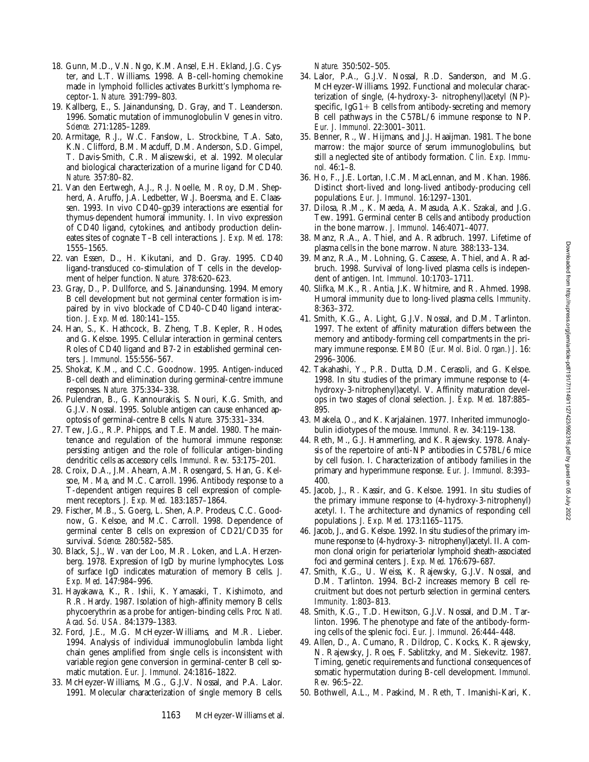- 18. Gunn, M.D., V.N. Ngo, K.M. Ansel, E.H. Ekland, J.G. Cyster, and L.T. Williams. 1998. A B-cell-homing chemokine made in lymphoid follicles activates Burkitt's lymphoma receptor-1. *Nature.* 391:799–803.
- 19. Kallberg, E., S. Jainandunsing, D. Gray, and T. Leanderson. 1996. Somatic mutation of immunoglobulin V genes in vitro. *Science.* 271:1285–1289.
- 20. Armitage, R.J., W.C. Fanslow, L. Strockbine, T.A. Sato, K.N. Clifford, B.M. Macduff, D.M. Anderson, S.D. Gimpel, T. Davis-Smith, C.R. Maliszewski, et al. 1992. Molecular and biological characterization of a murine ligand for CD40. *Nature.* 357:80–82.
- 21. Van den Eertwegh, A.J., R.J. Noelle, M. Roy, D.M. Shepherd, A. Aruffo, J.A. Ledbetter, W.J. Boersma, and E. Claassen. 1993. In vivo CD40–gp39 interactions are essential for thymus-dependent humoral immunity. I. In vivo expression of CD40 ligand, cytokines, and antibody production delineates sites of cognate T–B cell interactions. *J. Exp. Med.* 178: 1555–1565.
- 22. van Essen, D., H. Kikutani, and D. Gray. 1995. CD40 ligand-transduced co-stimulation of T cells in the development of helper function. *Nature.* 378:620–623.
- 23. Gray, D., P. Dullforce, and S. Jainandunsing. 1994. Memory B cell development but not germinal center formation is impaired by in vivo blockade of CD40–CD40 ligand interaction. *J. Exp. Med.* 180:141–155.
- 24. Han, S., K. Hathcock, B. Zheng, T.B. Kepler, R. Hodes, and G. Kelsoe. 1995. Cellular interaction in germinal centers. Roles of CD40 ligand and B7-2 in established germinal centers. *J. Immunol.* 155:556–567.
- 25. Shokat, K.M., and C.C. Goodnow. 1995. Antigen-induced B-cell death and elimination during germinal-centre immune responses. *Nature.* 375:334–338.
- 26. Pulendran, B., G. Kannourakis, S. Nouri, K.G. Smith, and G.J.V. Nossal. 1995. Soluble antigen can cause enhanced apoptosis of germinal-centre B cells. *Nature.* 375:331–334.
- 27. Tew, J.G., R.P. Phipps, and T.E. Mandel. 1980. The maintenance and regulation of the humoral immune response: persisting antigen and the role of follicular antigen-binding dendritic cells as accessory cells. *Immunol. Rev.* 53:175–201.
- 28. Croix, D.A., J.M. Ahearn, A.M. Rosengard, S. Han, G. Kelsoe, M. Ma, and M.C. Carroll. 1996. Antibody response to a T-dependent antigen requires B cell expression of complement receptors. *J. Exp. Med.* 183:1857–1864.
- 29. Fischer, M.B., S. Goerg, L. Shen, A.P. Prodeus, C.C. Goodnow, G. Kelsoe, and M.C. Carroll. 1998. Dependence of germinal center B cells on expression of CD21/CD35 for survival. *Science.* 280:582–585.
- 30. Black, S.J., W. van der Loo, M.R. Loken, and L.A. Herzenberg. 1978. Expression of IgD by murine lymphocytes. Loss of surface IgD indicates maturation of memory B cells. *J. Exp. Med*. 147:984–996.
- 31. Hayakawa, K., R. Ishii, K. Yamasaki, T. Kishimoto, and R.R. Hardy. 1987. Isolation of high-affinity memory B cells: phycoerythrin as a probe for antigen-binding cells. *Proc. Natl. Acad. Sci. USA.* 84:1379–1383.
- 32. Ford, J.E., M.G. McHeyzer-Williams, and M.R. Lieber. 1994. Analysis of individual immunoglobulin lambda light chain genes amplified from single cells is inconsistent with variable region gene conversion in germinal-center B cell somatic mutation. *Eur. J. Immunol.* 24:1816–1822.
- 33. McHeyzer-Williams, M.G., G.J.V. Nossal, and P.A. Lalor. 1991. Molecular characterization of single memory B cells.

1163 McHeyzer-Williams et al.

*Nature.* 350:502–505.

- 34. Lalor, P.A., G.J.V. Nossal, R.D. Sanderson, and M.G. McHeyzer-Williams. 1992. Functional and molecular characterization of single, (4-hydroxy-3- nitrophenyl)acetyl (NP) specific,  $IgG1 + B$  cells from antibody-secreting and memory B cell pathways in the C57BL/6 immune response to NP. *Eur. J. Immunol*. 22:3001–3011.
- 35. Benner, R., W. Hijmans, and J.J. Haaijman. 1981. The bone marrow: the major source of serum immunoglobulins, but still a neglected site of antibody formation. *Clin. Exp. Immunol.* 46:1–8.
- 36. Ho, F., J.E. Lortan, I.C.M. MacLennan, and M. Khan. 1986. Distinct short-lived and long-lived antibody-producing cell populations. *Eur. J. Immunol.* 16:1297–1301.
- 37. Dilosa, R.M., K. Maeda, A. Masuda, A.K. Szakal, and J.G. Tew. 1991. Germinal center B cells and antibody production in the bone marrow. *J. Immunol.* 146:4071–4077.
- 38. Manz, R.A., A. Thiel, and A. Radbruch. 1997. Lifetime of plasma cells in the bone marrow. *Nature.* 388:133–134.
- 39. Manz, R.A., M. Lohning, G. Cassese, A. Thiel, and A. Radbruch. 1998. Survival of long-lived plasma cells is independent of antigen. *Int. Immunol.* 10:1703–1711.
- 40. Slifka, M.K., R. Antia, J.K. Whitmire, and R. Ahmed. 1998. Humoral immunity due to long-lived plasma cells. *Immunity*. 8:363–372.
- 41. Smith, K.G., A. Light, G.J.V. Nossal, and D.M. Tarlinton. 1997. The extent of affinity maturation differs between the memory and antibody-forming cell compartments in the primary immune response. *EMBO (Eur. Mol. Biol. Organ.) J*. 16: 2996–3006.
- 42. Takahashi, Y., P.R. Dutta, D.M. Cerasoli, and G. Kelsoe. 1998. In situ studies of the primary immune response to (4 hydroxy-3-nitrophenyl)acetyl. V. Affinity maturation develops in two stages of clonal selection. *J. Exp. Med.* 187:885– 895.
- 43. Makela, O., and K. Karjalainen. 1977. Inherited immunoglobulin idiotypes of the mouse. *Immunol. Rev.* 34:119–138.
- 44. Reth, M., G.J. Hammerling, and K. Rajewsky. 1978. Analysis of the repertoire of anti-NP antibodies in C57BL/6 mice by cell fusion. I. Characterization of antibody families in the primary and hyperimmune response. *Eur. J. Immunol.* 8:393– 400.
- 45. Jacob, J., R. Kassir, and G. Kelsoe. 1991. In situ studies of the primary immune response to (4-hydroxy-3-nitrophenyl) acetyl. I. The architecture and dynamics of responding cell populations. *J. Exp. Med.* 173:1165–1175.
- 46. Jacob, J., and G. Kelsoe. 1992. In situ studies of the primary immune response to (4-hydroxy-3- nitrophenyl)acetyl. II. A common clonal origin for periarteriolar lymphoid sheath-associated foci and germinal centers. *J. Exp. Med.* 176:679–687.
- 47. Smith, K.G., U. Weiss, K. Rajewsky, G.J.V. Nossal, and D.M. Tarlinton. 1994. Bcl-2 increases memory B cell recruitment but does not perturb selection in germinal centers. *Immunity.* 1:803–813.
- 48. Smith, K.G., T.D. Hewitson, G.J.V. Nossal, and D.M. Tarlinton. 1996. The phenotype and fate of the antibody-forming cells of the splenic foci. *Eur. J. Immunol.* 26:444–448.
- 49. Allen, D., A. Cumano, R. Dildrop, C. Kocks, K. Rajewsky, N. Rajewsky, J. Roes, F. Sablitzky, and M. Siekevitz. 1987. Timing, genetic requirements and functional consequences of somatic hypermutation during B-cell development. *Immunol. Rev.* 96:5–22.
- 50. Bothwell, A.L., M. Paskind, M. Reth, T. Imanishi-Kari, K.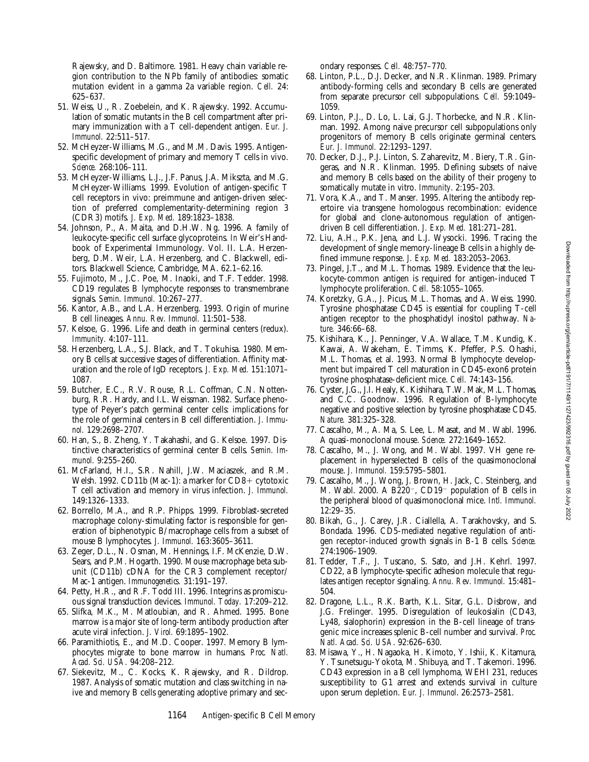Downloaded from http://rupress.org/jem/article-pdf/19111149/1127423/992316.pdf by guest on 05 July 2022 Downloaded from http://rupress.org/jem/article-pdf/191/7/1149/1127423/992316.pdf by guest on 05 July 2022

Rajewsky, and D. Baltimore. 1981. Heavy chain variable region contribution to the NPb family of antibodies: somatic mutation evident in a gamma 2a variable region. *Cell.* 24: 625–637.

- 51. Weiss, U., R. Zoebelein, and K. Rajewsky. 1992. Accumulation of somatic mutants in the B cell compartment after primary immunization with a T cell-dependent antigen. *Eur. J. Immunol.* 22:511–517.
- 52. McHeyzer-Williams, M.G., and M.M. Davis. 1995. Antigenspecific development of primary and memory T cells in vivo. *Science.* 268:106–111.
- 53. McHeyzer-Williams, L.J., J.F. Panus, J.A. Mikszta, and M.G. McHeyzer-Williams. 1999. Evolution of antigen-specific T cell receptors in vivo: preimmune and antigen-driven selection of preferred complementarity-determining region 3 (CDR3) motifs. *J. Exp. Med.* 189:1823–1838.
- 54. Johnson, P., A. Maita, and D.H.W. Ng. 1996. A family of leukocyte-specific cell surface glycoproteins. *In* Weir's Handbook of Experimental Immunology. Vol. II. L.A. Herzenberg, D.M. Weir, L.A. Herzenberg, and C. Blackwell, editors. Blackwell Science, Cambridge, MA. 62.1–62.16.
- 55. Fujimoto, M., J.C. Poe, M. Inaoki, and T.F. Tedder. 1998. CD19 regulates B lymphocyte responses to transmembrane signals. *Semin. Immunol.* 10:267–277.
- 56. Kantor, A.B., and L.A. Herzenberg. 1993. Origin of murine B cell lineages. *Annu. Rev. Immunol.* 11:501–538.
- 57. Kelsoe, G. 1996. Life and death in germinal centers (redux). *Immunity.* 4:107–111.
- 58. Herzenberg, L.A., S.J. Black, and T. Tokuhisa. 1980. Memory B cells at successive stages of differentiation. Affinity maturation and the role of IgD receptors. *J. Exp. Med.* 151:1071– 1087.
- 59. Butcher, E.C., R.V. Rouse, R.L. Coffman, C.N. Nottenburg, R.R. Hardy, and I.L. Weissman. 1982. Surface phenotype of Peyer's patch germinal center cells: implications for the role of germinal centers in B cell differentiation. *J. Immunol.* 129:2698–2707.
- 60. Han, S., B. Zheng, Y. Takahashi, and G. Kelsoe. 1997. Distinctive characteristics of germinal center B cells. *Semin. Immunol.* 9:255–260.
- 61. McFarland, H.I., S.R. Nahill, J.W. Maciaszek, and R.M. Welsh. 1992. CD11b (Mac-1): a marker for  $CD8+$  cytotoxic T cell activation and memory in virus infection. *J. Immunol.* 149:1326–1333.
- 62. Borrello, M.A., and R.P. Phipps. 1999. Fibroblast-secreted macrophage colony-stimulating factor is responsible for generation of biphenotypic B/macrophage cells from a subset of mouse B lymphocytes. *J. Immunol.* 163:3605–3611.
- 63. Zeger, D.L., N. Osman, M. Hennings, I.F. McKenzie, D.W. Sears, and P.M. Hogarth. 1990. Mouse macrophage beta subunit (CD11b) cDNA for the CR3 complement receptor/ Mac-1 antigen. *Immunogenetics.* 31:191–197.
- 64. Petty, H.R., and R.F. Todd III. 1996. Integrins as promiscuous signal transduction devices. *Immunol. Today.* 17:209–212.
- 65. Slifka, M.K., M. Matloubian, and R. Ahmed. 1995. Bone marrow is a major site of long-term antibody production after acute viral infection. *J. Virol.* 69:1895–1902.
- 66. Paramithiotis, E., and M.D. Cooper. 1997. Memory B lymphocytes migrate to bone marrow in humans. *Proc. Natl. Acad. Sci. USA.* 94:208–212.
- 67. Siekevitz, M., C. Kocks, K. Rajewsky, and R. Dildrop. 1987. Analysis of somatic mutation and class switching in naive and memory B cells generating adoptive primary and sec-

ondary responses. *Cell.* 48:757–770.

- 68. Linton, P.L., D.J. Decker, and N.R. Klinman. 1989. Primary antibody-forming cells and secondary B cells are generated from separate precursor cell subpopulations. *Cell.* 59:1049– 1059.
- 69. Linton, P.J., D. Lo, L. Lai, G.J. Thorbecke, and N.R. Klinman. 1992. Among naive precursor cell subpopulations only progenitors of memory B cells originate germinal centers. *Eur. J. Immunol.* 22:1293–1297.
- 70. Decker, D.J., P.J. Linton, S. Zaharevitz, M. Biery, T.R. Gingeras, and N.R. Klinman. 1995. Defining subsets of naive and memory B cells based on the ability of their progeny to somatically mutate in vitro. *Immunity*. 2:195–203.
- 71. Vora, K.A., and T. Manser. 1995. Altering the antibody repertoire via transgene homologous recombination: evidence for global and clone-autonomous regulation of antigendriven B cell differentiation. *J. Exp. Med.* 181:271–281.
- 72. Liu, A.H., P.K. Jena, and L.J. Wysocki. 1996. Tracing the development of single memory-lineage B cells in a highly defined immune response. *J. Exp. Med.* 183:2053–2063.
- 73. Pingel, J.T., and M.L. Thomas. 1989. Evidence that the leukocyte-common antigen is required for antigen-induced T lymphocyte proliferation. *Cell.* 58:1055–1065.
- 74. Koretzky, G.A., J. Picus, M.L. Thomas, and A. Weiss. 1990. Tyrosine phosphatase CD45 is essential for coupling T-cell antigen receptor to the phosphatidyl inositol pathway. *Nature.* 346:66–68.
- 75. Kishihara, K., J. Penninger, V.A. Wallace, T.M. Kundig, K. Kawai, A. Wakeham, E. Timms, K. Pfeffer, P.S. Ohashi, M.L. Thomas, et al. 1993. Normal B lymphocyte development but impaired T cell maturation in CD45-exon6 protein tyrosine phosphatase-deficient mice. *Cell.* 74:143–156.
- 76. Cyster, J.G., J.I. Healy, K. Kishihara, T.W. Mak, M.L. Thomas, and C.C. Goodnow. 1996. Regulation of B-lymphocyte negative and positive selection by tyrosine phosphatase CD45. *Nature.* 381:325–328.
- 77. Cascalho, M., A. Ma, S. Lee, L. Masat, and M. Wabl. 1996. A quasi-monoclonal mouse. *Science.* 272:1649–1652.
- 78. Cascalho, M., J. Wong, and M. Wabl. 1997. VH gene replacement in hyperselected B cells of the quasimonoclonal mouse. *J. Immunol.* 159:5795–5801.
- 79. Cascalho, M., J. Wong, J. Brown, H. Jack, C. Steinberg, and M. Wabl. 2000. A B220<sup>-</sup>, CD19<sup>-</sup> population of B cells in the peripheral blood of quasimonoclonal mice. *Intl. Immunol.* 12:29–35.
- 80. Bikah, G., J. Carey, J.R. Ciallella, A. Tarakhovsky, and S. Bondada. 1996. CD5-mediated negative regulation of antigen receptor-induced growth signals in B-1 B cells. *Science.* 274:1906–1909.
- 81. Tedder, T.F., J. Tuscano, S. Sato, and J.H. Kehrl. 1997. CD22, a B lymphocyte-specific adhesion molecule that regulates antigen receptor signaling. *Annu. Rev. Immunol.* 15:481– 504.
- 82. Dragone, L.L., R.K. Barth, K.L. Sitar, G.L. Disbrow, and J.G. Frelinger. 1995. Disregulation of leukosialin (CD43, Ly48, sialophorin) expression in the B-cell lineage of transgenic mice increases splenic B-cell number and survival. *Proc. Natl. Acad. Sci. USA*. 92:626–630.
- 83. Misawa, Y., H. Nagaoka, H. Kimoto, Y. Ishii, K. Kitamura, Y. Tsunetsugu-Yokota, M. Shibuya, and T. Takemori. 1996. CD43 expression in a B cell lymphoma, WEHI 231, reduces susceptibility to G1 arrest and extends survival in culture upon serum depletion. *Eur. J. Immunol*. 26:2573–2581.